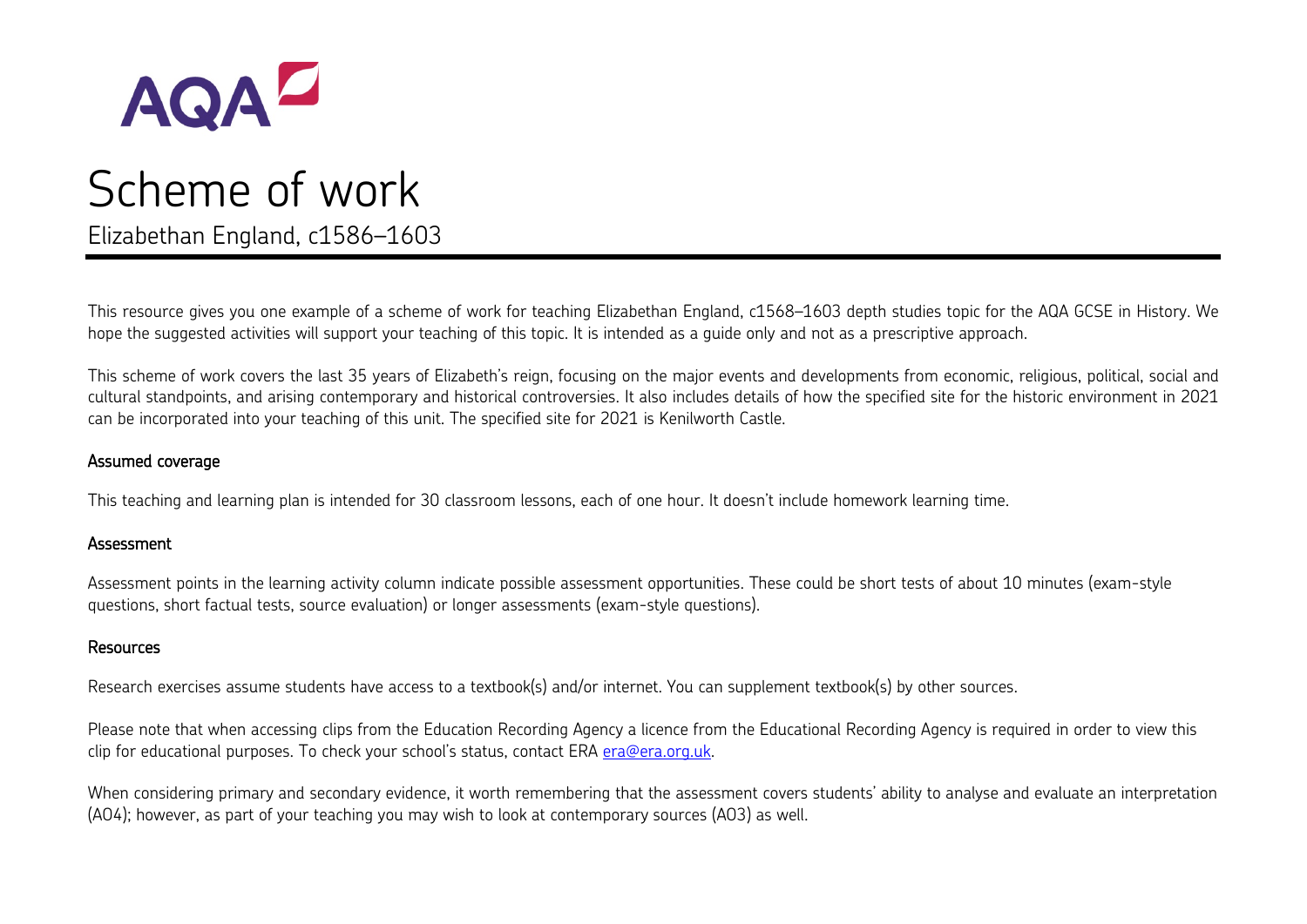

# Scheme of work Elizabethan England, c1586–1603

This resource gives you one example of a scheme of work for teaching Elizabethan England, c1568–1603 depth studies topic for the AQA GCSE in History. We hope the suggested activities will support your teaching of this topic. It is intended as a guide only and not as a prescriptive approach.

This scheme of work covers the last 35 years of Elizabeth's reign, focusing on the major events and developments from economic, religious, political, social and cultural standpoints, and arising contemporary and historical controversies. It also includes details of how the specified site for the historic environment in 2021 can be incorporated into your teaching of this unit. The specified site for 2021 is Kenilworth Castle.

#### Assumed coverage

This teaching and learning plan is intended for 30 classroom lessons, each of one hour. It doesn't include homework learning time.

#### **Assessment**

Assessment points in the learning activity column indicate possible assessment opportunities. These could be short tests of about 10 minutes (exam-style questions, short factual tests, source evaluation) or longer assessments (exam-style questions).

#### Resources

Research exercises assume students have access to a textbook(s) and/or internet. You can supplement textbook(s) by other sources.

Please note that when accessing clips from the Education Recording Agency a licence from the Educational Recording Agency is required in order to view this clip for educational purposes. To check your school's status, contact ERA [era@era.org.uk.](mailto:era@era.org.uk)

When considering primary and secondary evidence, it worth remembering that the assessment covers students' ability to analyse and evaluate an interpretation (AO4); however, as part of your teaching you may wish to look at contemporary sources (AO3) as well.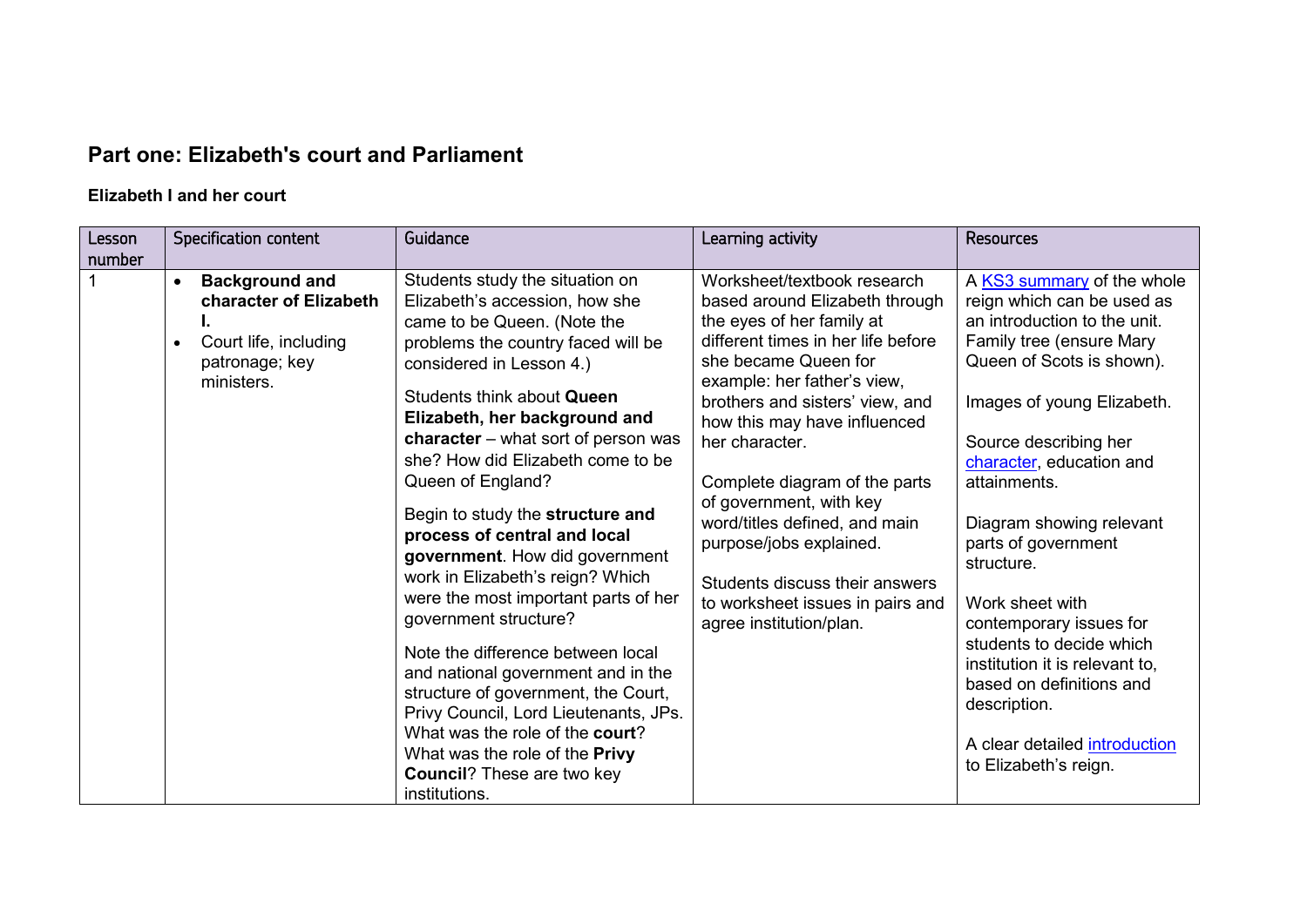## **Part one: Elizabeth's court and Parliament**

#### **Elizabeth I and her court**

| Lesson<br>number | Specification content                                                                                                              | Guidance                                                                                                                                                                                                                                                                                                                                                                                                                                                                                                                                                                                                                                                                                                                                                                                                                              | Learning activity                                                                                                                                                                                                                                                                                                                                                                                                                                                                                     | <b>Resources</b>                                                                                                                                                                                                                                                                                                                                                                                                                                                                                                                        |
|------------------|------------------------------------------------------------------------------------------------------------------------------------|---------------------------------------------------------------------------------------------------------------------------------------------------------------------------------------------------------------------------------------------------------------------------------------------------------------------------------------------------------------------------------------------------------------------------------------------------------------------------------------------------------------------------------------------------------------------------------------------------------------------------------------------------------------------------------------------------------------------------------------------------------------------------------------------------------------------------------------|-------------------------------------------------------------------------------------------------------------------------------------------------------------------------------------------------------------------------------------------------------------------------------------------------------------------------------------------------------------------------------------------------------------------------------------------------------------------------------------------------------|-----------------------------------------------------------------------------------------------------------------------------------------------------------------------------------------------------------------------------------------------------------------------------------------------------------------------------------------------------------------------------------------------------------------------------------------------------------------------------------------------------------------------------------------|
|                  | <b>Background and</b><br>$\bullet$<br>character of Elizabeth<br>Court life, including<br>$\bullet$<br>patronage; key<br>ministers. | Students study the situation on<br>Elizabeth's accession, how she<br>came to be Queen. (Note the<br>problems the country faced will be<br>considered in Lesson 4.)<br>Students think about Queen<br>Elizabeth, her background and<br>character $-$ what sort of person was<br>she? How did Elizabeth come to be<br>Queen of England?<br>Begin to study the structure and<br>process of central and local<br>government. How did government<br>work in Elizabeth's reign? Which<br>were the most important parts of her<br>government structure?<br>Note the difference between local<br>and national government and in the<br>structure of government, the Court,<br>Privy Council, Lord Lieutenants, JPs.<br>What was the role of the court?<br>What was the role of the Privy<br><b>Council?</b> These are two key<br>institutions. | Worksheet/textbook research<br>based around Elizabeth through<br>the eyes of her family at<br>different times in her life before<br>she became Queen for<br>example: her father's view,<br>brothers and sisters' view, and<br>how this may have influenced<br>her character.<br>Complete diagram of the parts<br>of government, with key<br>word/titles defined, and main<br>purpose/jobs explained.<br>Students discuss their answers<br>to worksheet issues in pairs and<br>agree institution/plan. | A KS3 summary of the whole<br>reign which can be used as<br>an introduction to the unit.<br>Family tree (ensure Mary<br>Queen of Scots is shown).<br>Images of young Elizabeth.<br>Source describing her<br>character, education and<br>attainments.<br>Diagram showing relevant<br>parts of government<br>structure.<br>Work sheet with<br>contemporary issues for<br>students to decide which<br>institution it is relevant to,<br>based on definitions and<br>description.<br>A clear detailed introduction<br>to Elizabeth's reign. |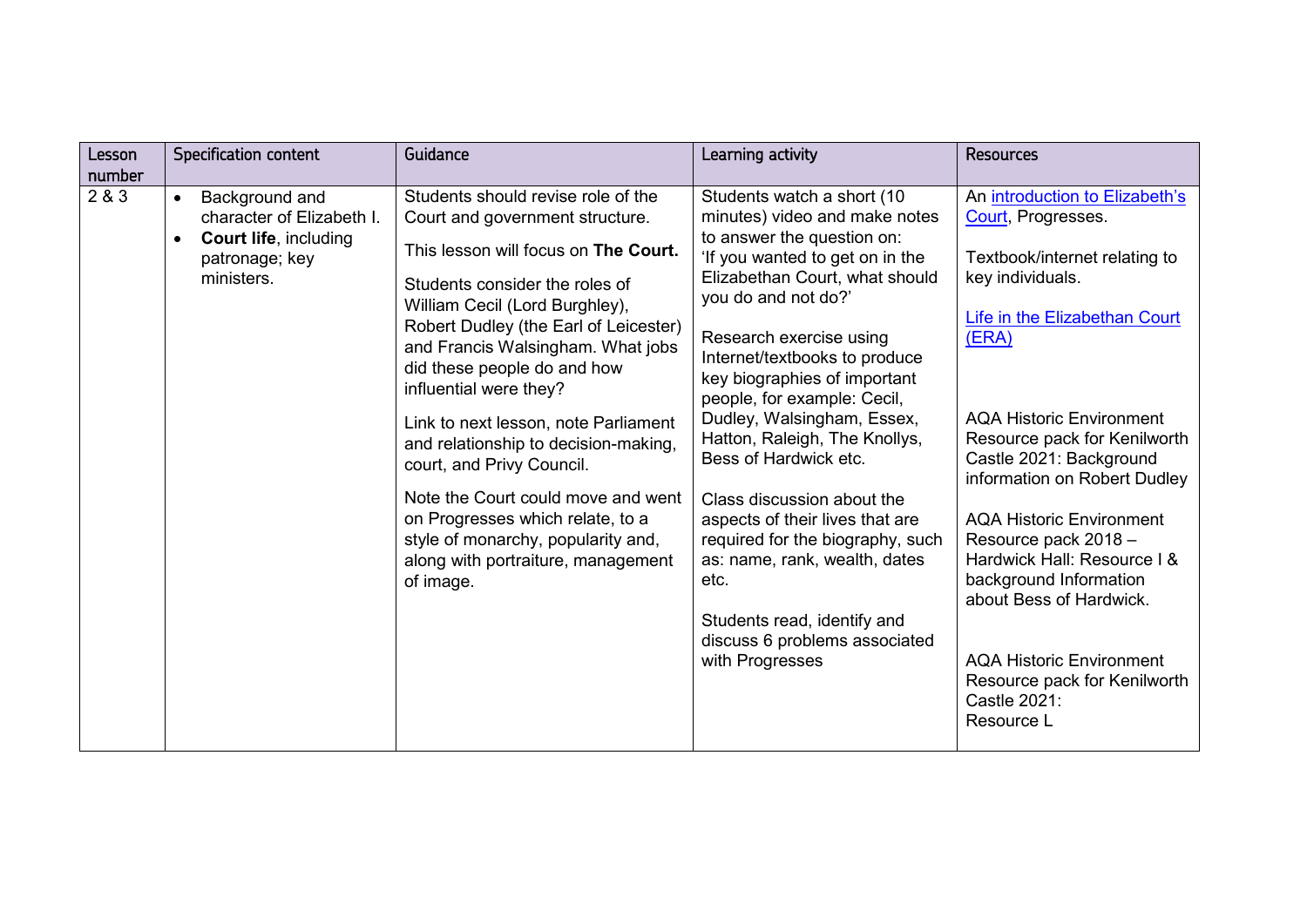| Lesson<br>number | Specification content                                                                                                                 | Guidance                                                                                                                                                                                                                                                                                                                                                                                                                                                                                                                                                                                                 | Learning activity                                                                                                                                                                                                                                                                                                                                                                                                                                                                                                                                                                                                                         | <b>Resources</b>                                                                                                                                                                                                                                                                                                                                                                                                                                                                                                                  |
|------------------|---------------------------------------------------------------------------------------------------------------------------------------|----------------------------------------------------------------------------------------------------------------------------------------------------------------------------------------------------------------------------------------------------------------------------------------------------------------------------------------------------------------------------------------------------------------------------------------------------------------------------------------------------------------------------------------------------------------------------------------------------------|-------------------------------------------------------------------------------------------------------------------------------------------------------------------------------------------------------------------------------------------------------------------------------------------------------------------------------------------------------------------------------------------------------------------------------------------------------------------------------------------------------------------------------------------------------------------------------------------------------------------------------------------|-----------------------------------------------------------------------------------------------------------------------------------------------------------------------------------------------------------------------------------------------------------------------------------------------------------------------------------------------------------------------------------------------------------------------------------------------------------------------------------------------------------------------------------|
| 2 & 3            | Background and<br>$\bullet$<br>character of Elizabeth I.<br><b>Court life, including</b><br>$\bullet$<br>patronage; key<br>ministers. | Students should revise role of the<br>Court and government structure.<br>This lesson will focus on The Court.<br>Students consider the roles of<br>William Cecil (Lord Burghley),<br>Robert Dudley (the Earl of Leicester)<br>and Francis Walsingham. What jobs<br>did these people do and how<br>influential were they?<br>Link to next lesson, note Parliament<br>and relationship to decision-making,<br>court, and Privy Council.<br>Note the Court could move and went<br>on Progresses which relate, to a<br>style of monarchy, popularity and,<br>along with portraiture, management<br>of image. | Students watch a short (10<br>minutes) video and make notes<br>to answer the question on:<br>'If you wanted to get on in the<br>Elizabethan Court, what should<br>you do and not do?'<br>Research exercise using<br>Internet/textbooks to produce<br>key biographies of important<br>people, for example: Cecil,<br>Dudley, Walsingham, Essex,<br>Hatton, Raleigh, The Knollys,<br>Bess of Hardwick etc.<br>Class discussion about the<br>aspects of their lives that are<br>required for the biography, such<br>as: name, rank, wealth, dates<br>etc.<br>Students read, identify and<br>discuss 6 problems associated<br>with Progresses | An introduction to Elizabeth's<br>Court, Progresses.<br>Textbook/internet relating to<br>key individuals.<br>Life in the Elizabethan Court<br>(ERA)<br><b>AQA Historic Environment</b><br>Resource pack for Kenilworth<br>Castle 2021: Background<br>information on Robert Dudley<br><b>AQA Historic Environment</b><br>Resource pack 2018 -<br>Hardwick Hall: Resource I &<br>background Information<br>about Bess of Hardwick.<br><b>AQA Historic Environment</b><br>Resource pack for Kenilworth<br>Castle 2021:<br>Resource L |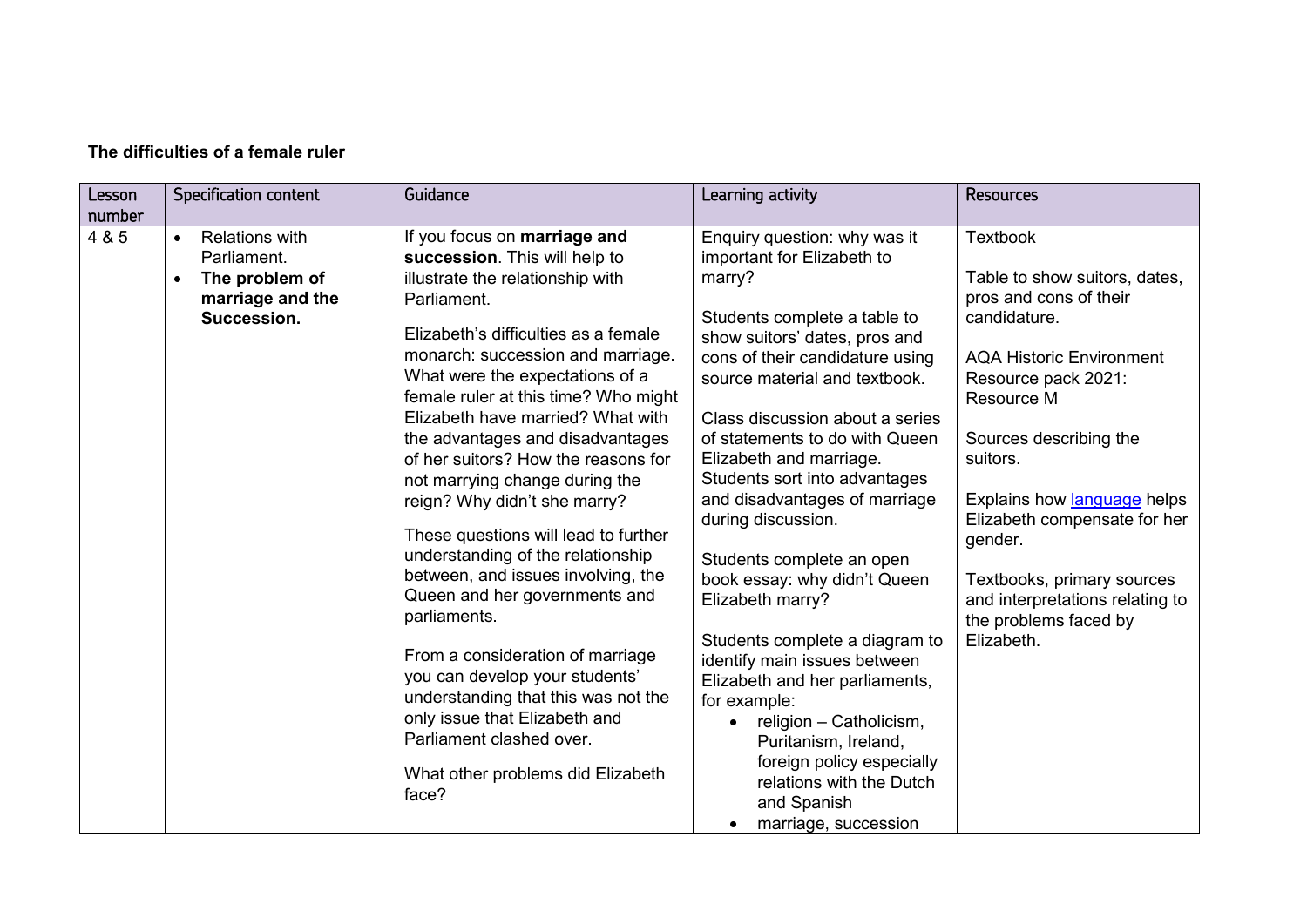| Lesson<br>number | <b>Specification content</b>                                                                                        | Guidance                                                                                                                                                                                                                                                                                                                                                                                                                                                                                                                                                                                                                                                                                                                                                                                                                                               | Learning activity                                                                                                                                                                                                                                                                                                                                                                                                                                                                                                                                                                                                                                                                                                                                         | <b>Resources</b>                                                                                                                                                                                                                                                                                                                                                                           |
|------------------|---------------------------------------------------------------------------------------------------------------------|--------------------------------------------------------------------------------------------------------------------------------------------------------------------------------------------------------------------------------------------------------------------------------------------------------------------------------------------------------------------------------------------------------------------------------------------------------------------------------------------------------------------------------------------------------------------------------------------------------------------------------------------------------------------------------------------------------------------------------------------------------------------------------------------------------------------------------------------------------|-----------------------------------------------------------------------------------------------------------------------------------------------------------------------------------------------------------------------------------------------------------------------------------------------------------------------------------------------------------------------------------------------------------------------------------------------------------------------------------------------------------------------------------------------------------------------------------------------------------------------------------------------------------------------------------------------------------------------------------------------------------|--------------------------------------------------------------------------------------------------------------------------------------------------------------------------------------------------------------------------------------------------------------------------------------------------------------------------------------------------------------------------------------------|
| 4 & 5            | <b>Relations with</b><br>$\bullet$<br>Parliament.<br>The problem of<br>$\bullet$<br>marriage and the<br>Succession. | If you focus on marriage and<br>succession. This will help to<br>illustrate the relationship with<br>Parliament.<br>Elizabeth's difficulties as a female<br>monarch: succession and marriage.<br>What were the expectations of a<br>female ruler at this time? Who might<br>Elizabeth have married? What with<br>the advantages and disadvantages<br>of her suitors? How the reasons for<br>not marrying change during the<br>reign? Why didn't she marry?<br>These questions will lead to further<br>understanding of the relationship<br>between, and issues involving, the<br>Queen and her governments and<br>parliaments.<br>From a consideration of marriage<br>you can develop your students'<br>understanding that this was not the<br>only issue that Elizabeth and<br>Parliament clashed over.<br>What other problems did Elizabeth<br>face? | Enquiry question: why was it<br>important for Elizabeth to<br>marry?<br>Students complete a table to<br>show suitors' dates, pros and<br>cons of their candidature using<br>source material and textbook.<br>Class discussion about a series<br>of statements to do with Queen<br>Elizabeth and marriage.<br>Students sort into advantages<br>and disadvantages of marriage<br>during discussion.<br>Students complete an open<br>book essay: why didn't Queen<br>Elizabeth marry?<br>Students complete a diagram to<br>identify main issues between<br>Elizabeth and her parliaments,<br>for example:<br>religion - Catholicism,<br>Puritanism, Ireland,<br>foreign policy especially<br>relations with the Dutch<br>and Spanish<br>marriage, succession | <b>Textbook</b><br>Table to show suitors, dates,<br>pros and cons of their<br>candidature.<br><b>AQA Historic Environment</b><br>Resource pack 2021:<br>Resource M<br>Sources describing the<br>suitors.<br>Explains how language helps<br>Elizabeth compensate for her<br>gender.<br>Textbooks, primary sources<br>and interpretations relating to<br>the problems faced by<br>Elizabeth. |

#### **The difficulties of a female ruler**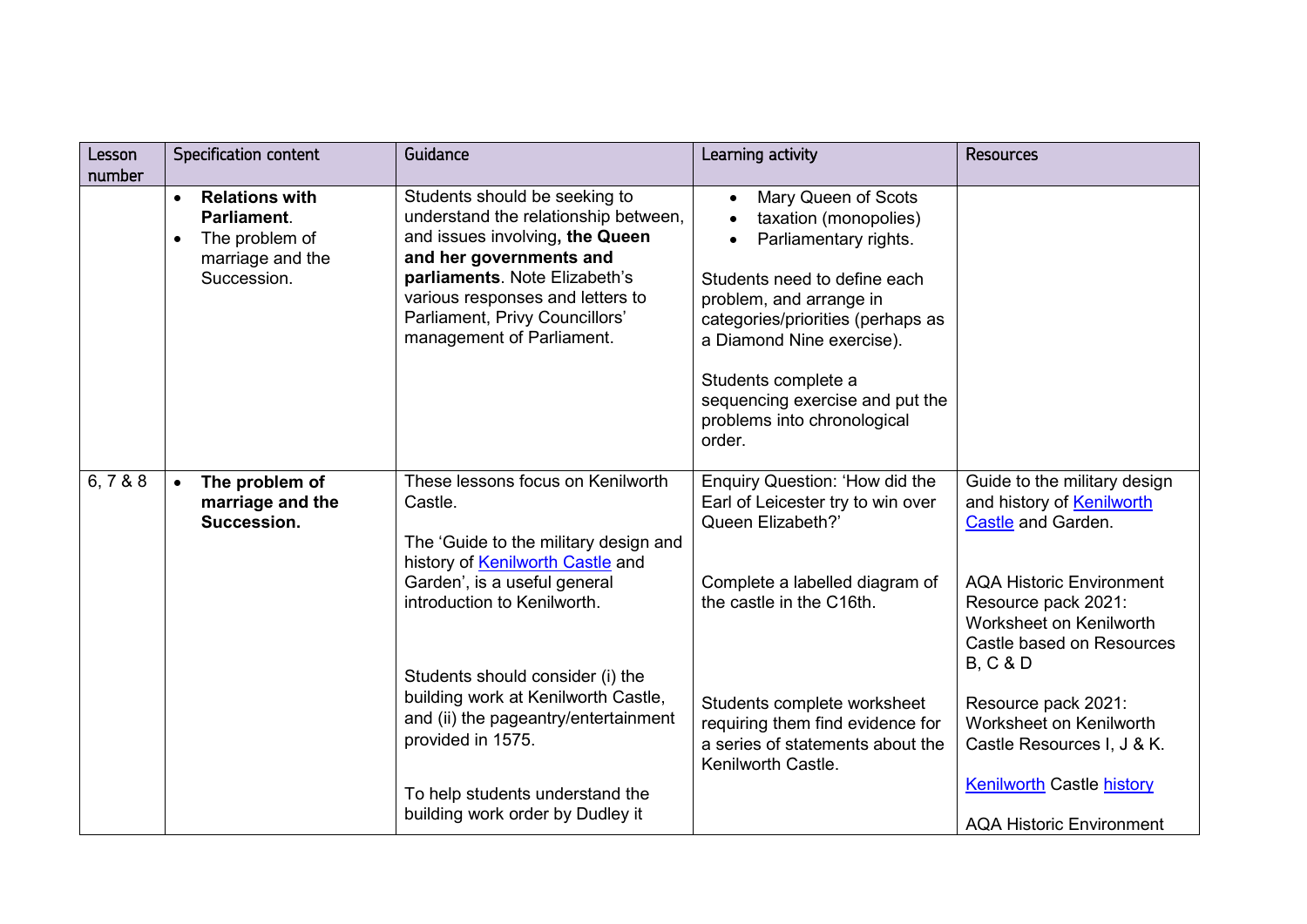| Lesson<br>number | Specification content                                                                                               | Guidance                                                                                                                                                                                                                                                                                                                         | Learning activity                                                                                                                                                                                                                                                                                     | <b>Resources</b>                                                                                                                                                                                                                                                                                         |
|------------------|---------------------------------------------------------------------------------------------------------------------|----------------------------------------------------------------------------------------------------------------------------------------------------------------------------------------------------------------------------------------------------------------------------------------------------------------------------------|-------------------------------------------------------------------------------------------------------------------------------------------------------------------------------------------------------------------------------------------------------------------------------------------------------|----------------------------------------------------------------------------------------------------------------------------------------------------------------------------------------------------------------------------------------------------------------------------------------------------------|
|                  | <b>Relations with</b><br>$\bullet$<br>Parliament.<br>The problem of<br>$\bullet$<br>marriage and the<br>Succession. | Students should be seeking to<br>understand the relationship between,<br>and issues involving, the Queen<br>and her governments and<br>parliaments. Note Elizabeth's<br>various responses and letters to<br>Parliament, Privy Councillors'<br>management of Parliament.                                                          | Mary Queen of Scots<br>taxation (monopolies)<br>Parliamentary rights.<br>Students need to define each<br>problem, and arrange in<br>categories/priorities (perhaps as<br>a Diamond Nine exercise).<br>Students complete a<br>sequencing exercise and put the<br>problems into chronological<br>order. |                                                                                                                                                                                                                                                                                                          |
| 6, 788           | The problem of<br>marriage and the<br>Succession.                                                                   | These lessons focus on Kenilworth<br>Castle.<br>The 'Guide to the military design and<br>history of Kenilworth Castle and<br>Garden', is a useful general<br>introduction to Kenilworth.<br>Students should consider (i) the<br>building work at Kenilworth Castle,<br>and (ii) the pageantry/entertainment<br>provided in 1575. | Enquiry Question: 'How did the<br>Earl of Leicester try to win over<br>Queen Elizabeth?'<br>Complete a labelled diagram of<br>the castle in the C16th.<br>Students complete worksheet<br>requiring them find evidence for<br>a series of statements about the                                         | Guide to the military design<br>and history of Kenilworth<br>Castle and Garden.<br><b>AQA Historic Environment</b><br>Resource pack 2021:<br>Worksheet on Kenilworth<br>Castle based on Resources<br><b>B, C &amp; D</b><br>Resource pack 2021:<br>Worksheet on Kenilworth<br>Castle Resources I, J & K. |
|                  |                                                                                                                     | To help students understand the<br>building work order by Dudley it                                                                                                                                                                                                                                                              | Kenilworth Castle.                                                                                                                                                                                                                                                                                    | <b>Kenilworth Castle history</b><br><b>AQA Historic Environment</b>                                                                                                                                                                                                                                      |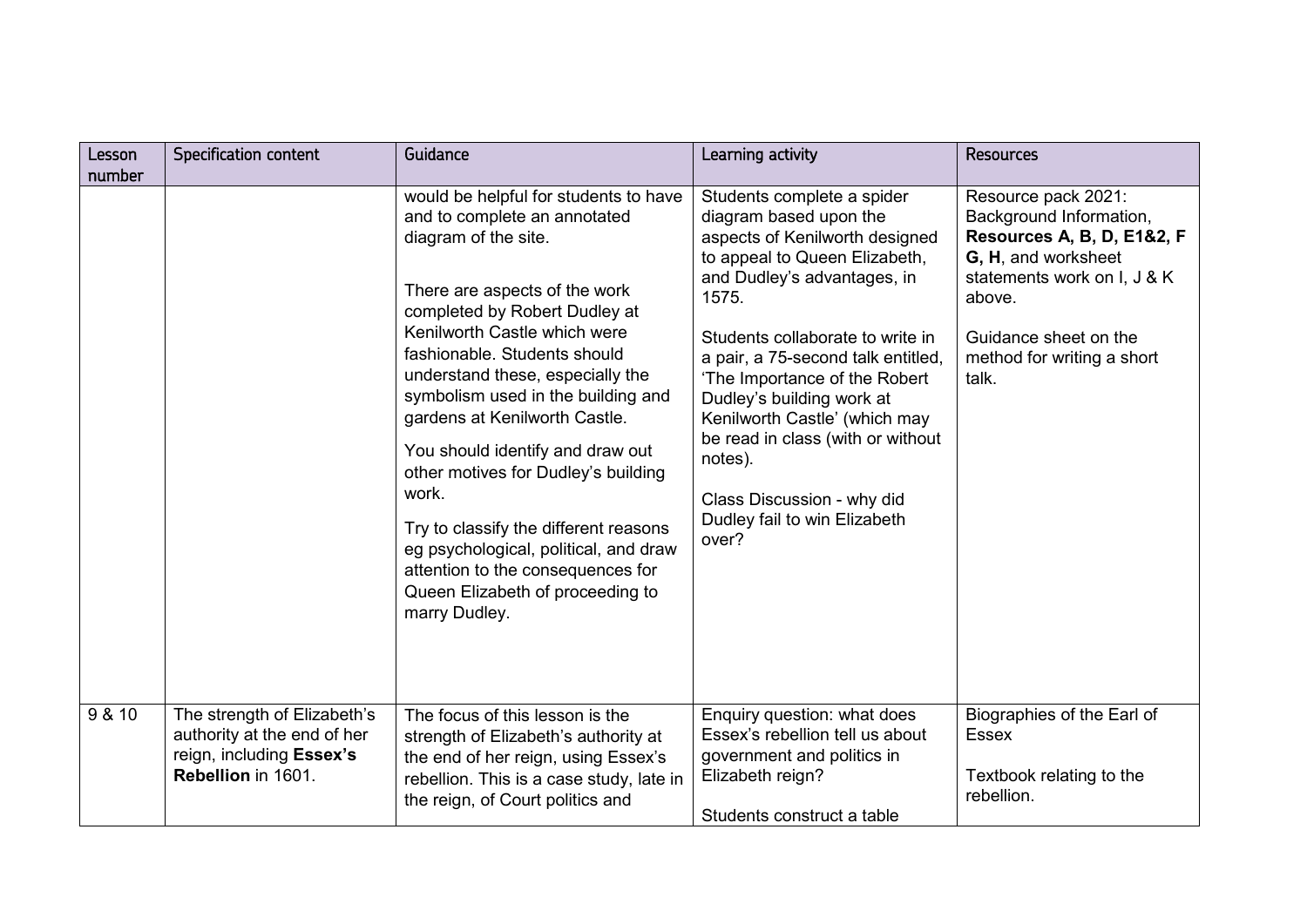| Lesson<br>number | Specification content                                                                                        | Guidance                                                                                                                                                                                                                                                                                                                                                                                                                                                                                                                                                                                                   | Learning activity                                                                                                                                                                                                                                                                                                                                                                                                                                               | <b>Resources</b>                                                                                                                                                                                             |
|------------------|--------------------------------------------------------------------------------------------------------------|------------------------------------------------------------------------------------------------------------------------------------------------------------------------------------------------------------------------------------------------------------------------------------------------------------------------------------------------------------------------------------------------------------------------------------------------------------------------------------------------------------------------------------------------------------------------------------------------------------|-----------------------------------------------------------------------------------------------------------------------------------------------------------------------------------------------------------------------------------------------------------------------------------------------------------------------------------------------------------------------------------------------------------------------------------------------------------------|--------------------------------------------------------------------------------------------------------------------------------------------------------------------------------------------------------------|
|                  |                                                                                                              | would be helpful for students to have<br>and to complete an annotated<br>diagram of the site.<br>There are aspects of the work<br>completed by Robert Dudley at<br>Kenilworth Castle which were<br>fashionable. Students should<br>understand these, especially the<br>symbolism used in the building and<br>gardens at Kenilworth Castle.<br>You should identify and draw out<br>other motives for Dudley's building<br>work.<br>Try to classify the different reasons<br>eg psychological, political, and draw<br>attention to the consequences for<br>Queen Elizabeth of proceeding to<br>marry Dudley. | Students complete a spider<br>diagram based upon the<br>aspects of Kenilworth designed<br>to appeal to Queen Elizabeth,<br>and Dudley's advantages, in<br>1575.<br>Students collaborate to write in<br>a pair, a 75-second talk entitled,<br>'The Importance of the Robert<br>Dudley's building work at<br>Kenilworth Castle' (which may<br>be read in class (with or without<br>notes).<br>Class Discussion - why did<br>Dudley fail to win Elizabeth<br>over? | Resource pack 2021:<br>Background Information,<br>Resources A, B, D, E1&2, F<br>G, H, and worksheet<br>statements work on I, J & K<br>above.<br>Guidance sheet on the<br>method for writing a short<br>talk. |
| 9 & 10           | The strength of Elizabeth's<br>authority at the end of her<br>reign, including Essex's<br>Rebellion in 1601. | The focus of this lesson is the<br>strength of Elizabeth's authority at<br>the end of her reign, using Essex's<br>rebellion. This is a case study, late in<br>the reign, of Court politics and                                                                                                                                                                                                                                                                                                                                                                                                             | Enquiry question: what does<br>Essex's rebellion tell us about<br>government and politics in<br>Elizabeth reign?<br>Students construct a table                                                                                                                                                                                                                                                                                                                  | Biographies of the Earl of<br><b>Essex</b><br>Textbook relating to the<br>rebellion.                                                                                                                         |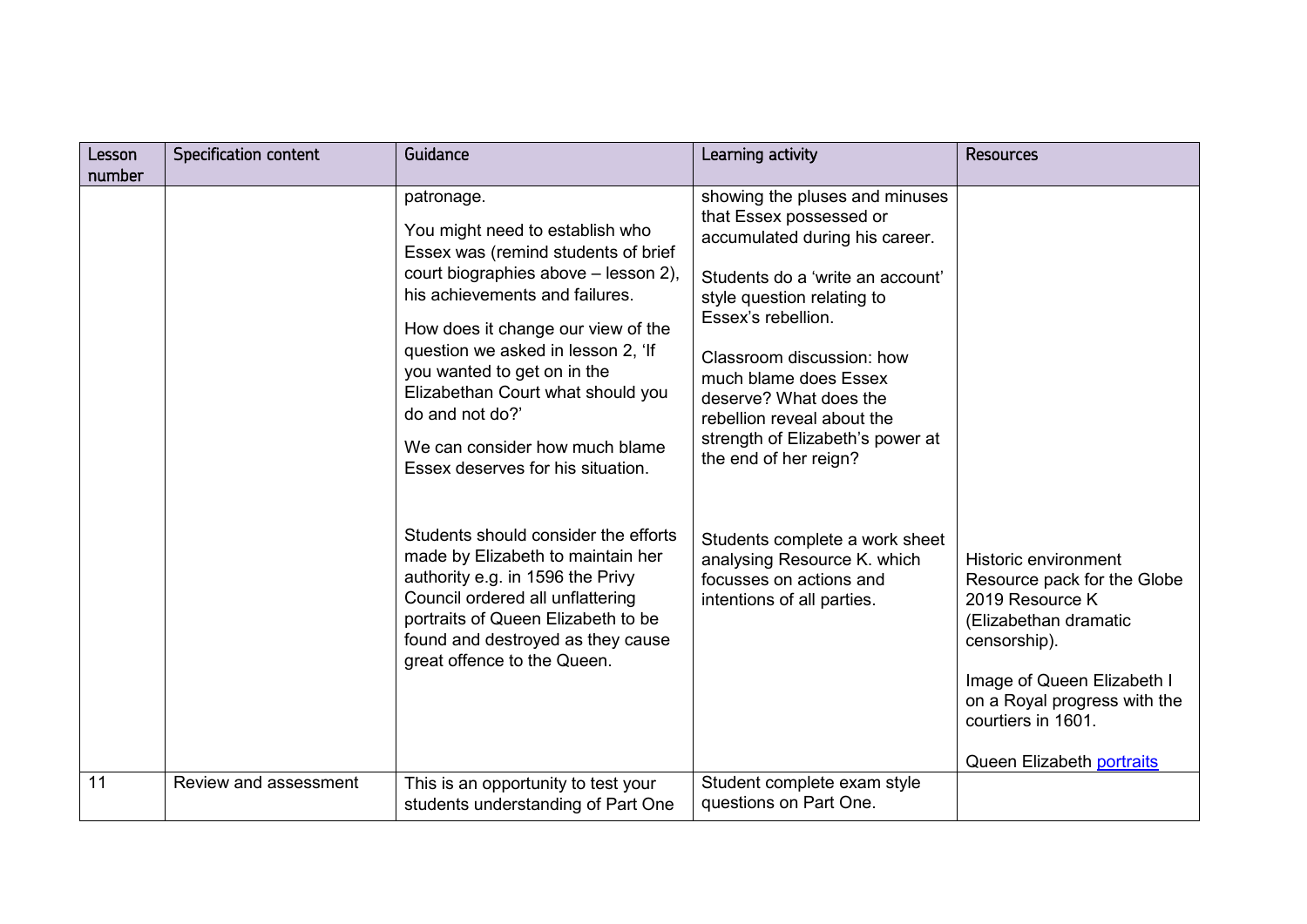| Lesson | <b>Specification content</b> | Guidance                                                                                                                                                                                                                                                                                                                                                                                                 | Learning activity                                                                                                                                                                                                                                                                                                                                              | <b>Resources</b>                                                                                                                                                                                                                        |
|--------|------------------------------|----------------------------------------------------------------------------------------------------------------------------------------------------------------------------------------------------------------------------------------------------------------------------------------------------------------------------------------------------------------------------------------------------------|----------------------------------------------------------------------------------------------------------------------------------------------------------------------------------------------------------------------------------------------------------------------------------------------------------------------------------------------------------------|-----------------------------------------------------------------------------------------------------------------------------------------------------------------------------------------------------------------------------------------|
| number |                              |                                                                                                                                                                                                                                                                                                                                                                                                          |                                                                                                                                                                                                                                                                                                                                                                |                                                                                                                                                                                                                                         |
|        |                              | patronage.<br>You might need to establish who<br>Essex was (remind students of brief<br>court biographies above - lesson 2),<br>his achievements and failures.<br>How does it change our view of the<br>question we asked in lesson 2, 'If<br>you wanted to get on in the<br>Elizabethan Court what should you<br>do and not do?'<br>We can consider how much blame<br>Essex deserves for his situation. | showing the pluses and minuses<br>that Essex possessed or<br>accumulated during his career.<br>Students do a 'write an account'<br>style question relating to<br>Essex's rebellion.<br>Classroom discussion: how<br>much blame does Essex<br>deserve? What does the<br>rebellion reveal about the<br>strength of Elizabeth's power at<br>the end of her reign? |                                                                                                                                                                                                                                         |
|        |                              | Students should consider the efforts<br>made by Elizabeth to maintain her<br>authority e.g. in 1596 the Privy<br>Council ordered all unflattering<br>portraits of Queen Elizabeth to be<br>found and destroyed as they cause<br>great offence to the Queen.                                                                                                                                              | Students complete a work sheet<br>analysing Resource K. which<br>focusses on actions and<br>intentions of all parties.                                                                                                                                                                                                                                         | <b>Historic environment</b><br>Resource pack for the Globe<br>2019 Resource K<br>(Elizabethan dramatic<br>censorship).<br>Image of Queen Elizabeth I<br>on a Royal progress with the<br>courtiers in 1601.<br>Queen Elizabeth portraits |
| 11     | Review and assessment        | This is an opportunity to test your<br>students understanding of Part One                                                                                                                                                                                                                                                                                                                                | Student complete exam style<br>questions on Part One.                                                                                                                                                                                                                                                                                                          |                                                                                                                                                                                                                                         |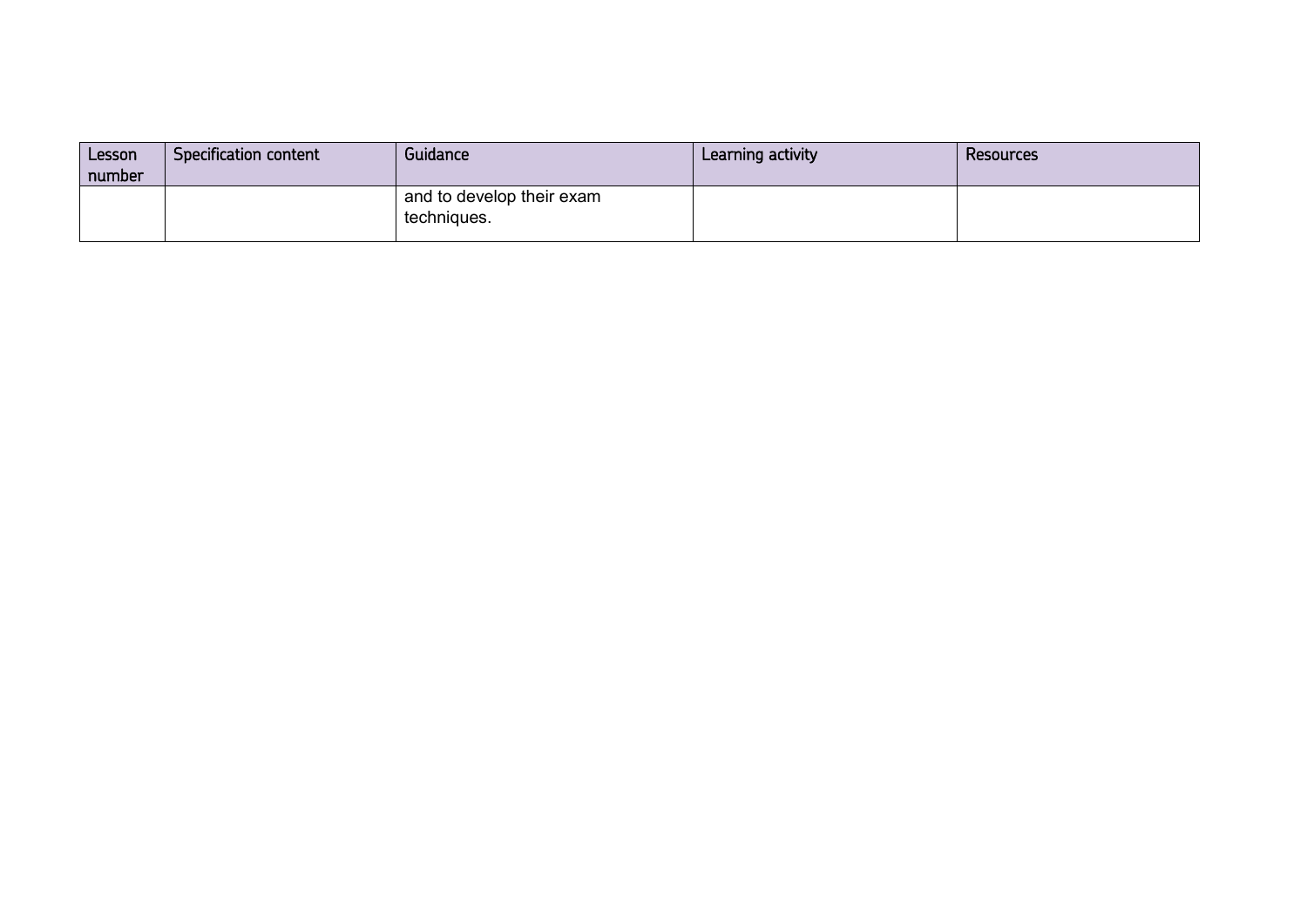| Lesson<br>number | Specification content | Guidance                                 | Learning activity | Resources |
|------------------|-----------------------|------------------------------------------|-------------------|-----------|
|                  |                       | and to develop their exam<br>techniques. |                   |           |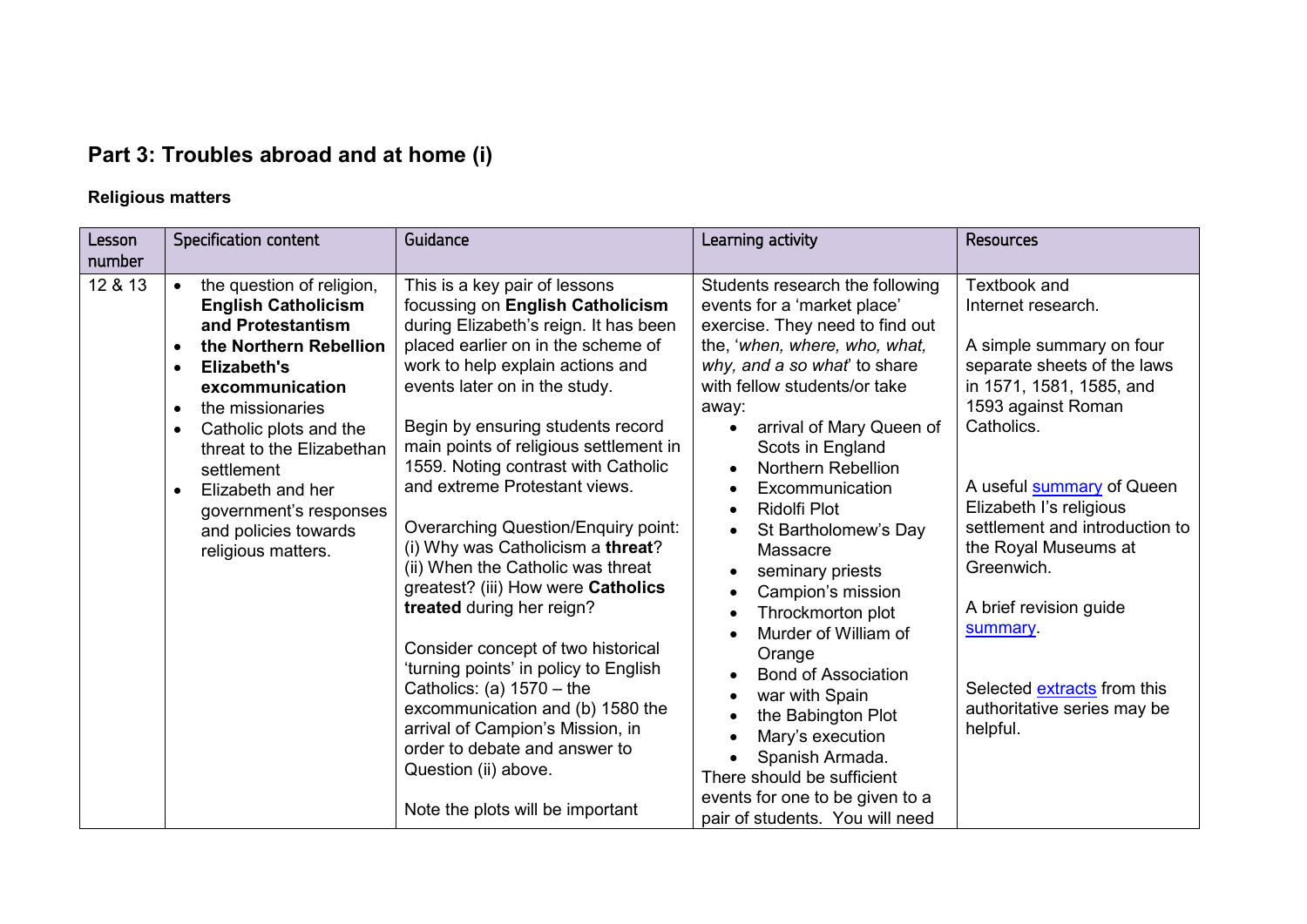# **Part 3: Troubles abroad and at home (i)**

## **Religious matters**

| Lesson<br>number | Specification content                                                                                                                                                                                                                                                                                                                                                                                        | Guidance                                                                                                                                                                                                                                                                                                                                                                                                                                                                                                                                                                                                                                                                                                                                                                                                                                                   | Learning activity                                                                                                                                                                                                                                                                                                                                                                                                                                                                                                                                                                                                                                                                             | <b>Resources</b>                                                                                                                                                                                                                                                                                                                                                                                                     |
|------------------|--------------------------------------------------------------------------------------------------------------------------------------------------------------------------------------------------------------------------------------------------------------------------------------------------------------------------------------------------------------------------------------------------------------|------------------------------------------------------------------------------------------------------------------------------------------------------------------------------------------------------------------------------------------------------------------------------------------------------------------------------------------------------------------------------------------------------------------------------------------------------------------------------------------------------------------------------------------------------------------------------------------------------------------------------------------------------------------------------------------------------------------------------------------------------------------------------------------------------------------------------------------------------------|-----------------------------------------------------------------------------------------------------------------------------------------------------------------------------------------------------------------------------------------------------------------------------------------------------------------------------------------------------------------------------------------------------------------------------------------------------------------------------------------------------------------------------------------------------------------------------------------------------------------------------------------------------------------------------------------------|----------------------------------------------------------------------------------------------------------------------------------------------------------------------------------------------------------------------------------------------------------------------------------------------------------------------------------------------------------------------------------------------------------------------|
| 12 & 13          | the question of religion,<br>$\bullet$<br><b>English Catholicism</b><br>and Protestantism<br>the Northern Rebellion<br>$\bullet$<br>Elizabeth's<br>$\bullet$<br>excommunication<br>the missionaries<br>$\bullet$<br>Catholic plots and the<br>$\bullet$<br>threat to the Elizabethan<br>settlement<br>Elizabeth and her<br>$\bullet$<br>government's responses<br>and policies towards<br>religious matters. | This is a key pair of lessons<br>focussing on English Catholicism<br>during Elizabeth's reign. It has been<br>placed earlier on in the scheme of<br>work to help explain actions and<br>events later on in the study.<br>Begin by ensuring students record<br>main points of religious settlement in<br>1559. Noting contrast with Catholic<br>and extreme Protestant views.<br><b>Overarching Question/Enquiry point:</b><br>(i) Why was Catholicism a threat?<br>(ii) When the Catholic was threat<br>greatest? (iii) How were Catholics<br>treated during her reign?<br>Consider concept of two historical<br>'turning points' in policy to English<br>Catholics: (a) $1570 -$ the<br>excommunication and (b) 1580 the<br>arrival of Campion's Mission, in<br>order to debate and answer to<br>Question (ii) above.<br>Note the plots will be important | Students research the following<br>events for a 'market place'<br>exercise. They need to find out<br>the, 'when, where, who, what,<br>why, and a so what' to share<br>with fellow students/or take<br>away:<br>arrival of Mary Queen of<br>Scots in England<br><b>Northern Rebellion</b><br>Excommunication<br>$\bullet$<br>Ridolfi Plot<br>St Bartholomew's Day<br>Massacre<br>seminary priests<br>Campion's mission<br>Throckmorton plot<br>Murder of William of<br>Orange<br><b>Bond of Association</b><br>war with Spain<br>the Babington Plot<br>Mary's execution<br>Spanish Armada.<br>There should be sufficient<br>events for one to be given to a<br>pair of students. You will need | Textbook and<br>Internet research.<br>A simple summary on four<br>separate sheets of the laws<br>in 1571, 1581, 1585, and<br>1593 against Roman<br>Catholics.<br>A useful <b>summary</b> of Queen<br>Elizabeth I's religious<br>settlement and introduction to<br>the Royal Museums at<br>Greenwich.<br>A brief revision guide<br>summary.<br>Selected extracts from this<br>authoritative series may be<br>helpful. |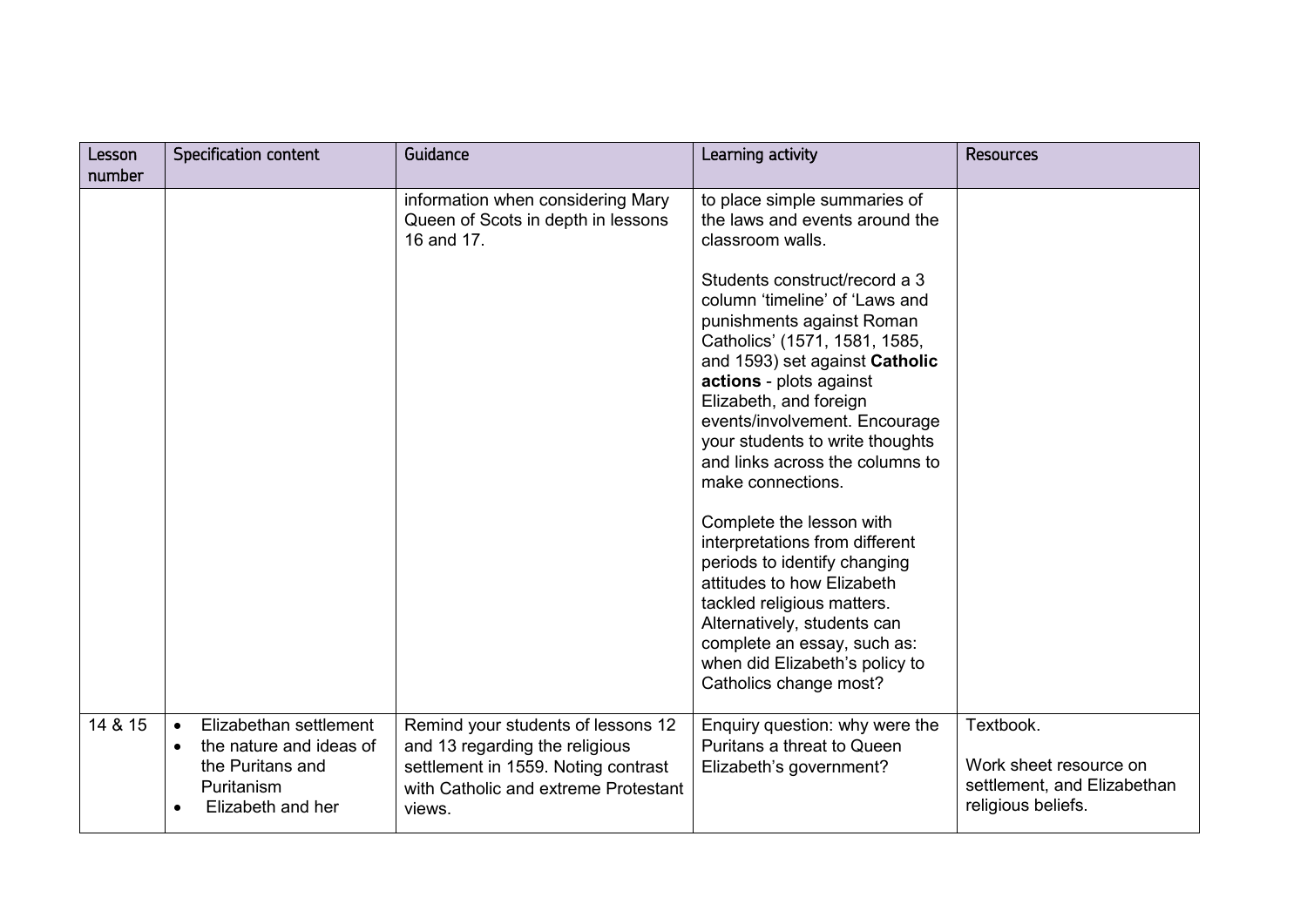| Lesson<br>number | Specification content                                                                                                              | Guidance                                                                                                                                                      | Learning activity                                                                                                                                                                                                                                                                                                                                                                                                                                                                                                                                                                                                               | <b>Resources</b>                                                                         |
|------------------|------------------------------------------------------------------------------------------------------------------------------------|---------------------------------------------------------------------------------------------------------------------------------------------------------------|---------------------------------------------------------------------------------------------------------------------------------------------------------------------------------------------------------------------------------------------------------------------------------------------------------------------------------------------------------------------------------------------------------------------------------------------------------------------------------------------------------------------------------------------------------------------------------------------------------------------------------|------------------------------------------------------------------------------------------|
|                  |                                                                                                                                    | information when considering Mary<br>Queen of Scots in depth in lessons<br>16 and 17.                                                                         | to place simple summaries of<br>the laws and events around the<br>classroom walls.<br>Students construct/record a 3<br>column 'timeline' of 'Laws and<br>punishments against Roman<br>Catholics' (1571, 1581, 1585,<br>and 1593) set against Catholic<br>actions - plots against<br>Elizabeth, and foreign<br>events/involvement. Encourage<br>your students to write thoughts<br>and links across the columns to<br>make connections.<br>Complete the lesson with<br>interpretations from different<br>periods to identify changing<br>attitudes to how Elizabeth<br>tackled religious matters.<br>Alternatively, students can |                                                                                          |
|                  |                                                                                                                                    |                                                                                                                                                               | complete an essay, such as:<br>when did Elizabeth's policy to<br>Catholics change most?                                                                                                                                                                                                                                                                                                                                                                                                                                                                                                                                         |                                                                                          |
| 14 & 15          | Elizabethan settlement<br>$\bullet$<br>the nature and ideas of<br>$\bullet$<br>the Puritans and<br>Puritanism<br>Elizabeth and her | Remind your students of lessons 12<br>and 13 regarding the religious<br>settlement in 1559. Noting contrast<br>with Catholic and extreme Protestant<br>views. | Enquiry question: why were the<br>Puritans a threat to Queen<br>Elizabeth's government?                                                                                                                                                                                                                                                                                                                                                                                                                                                                                                                                         | Textbook.<br>Work sheet resource on<br>settlement, and Elizabethan<br>religious beliefs. |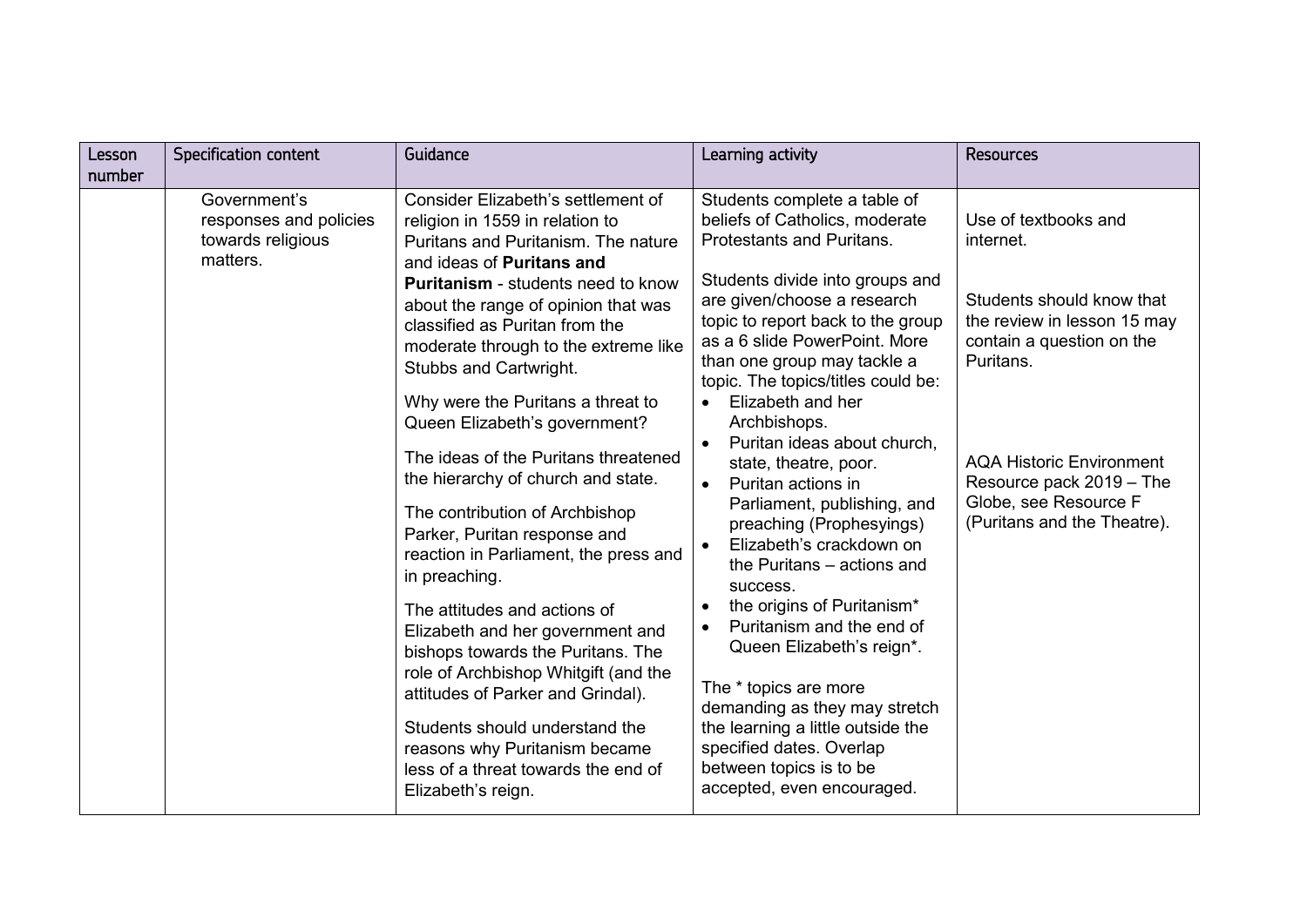| Lesson<br>number | <b>Specification content</b>                                            | Guidance                                                                                                                                                                                                                                                                                                                                                                                                                                                                                                                                                                                                                                                                                                                                                                                                                                                                                                                                | Learning activity                                                                                                                                                                                                                                                                                                                                                                                                                                                                                                                                                                                                                                                                                                                                                                                                                                                  | <b>Resources</b>                                                                                                                                                                                                                                               |
|------------------|-------------------------------------------------------------------------|-----------------------------------------------------------------------------------------------------------------------------------------------------------------------------------------------------------------------------------------------------------------------------------------------------------------------------------------------------------------------------------------------------------------------------------------------------------------------------------------------------------------------------------------------------------------------------------------------------------------------------------------------------------------------------------------------------------------------------------------------------------------------------------------------------------------------------------------------------------------------------------------------------------------------------------------|--------------------------------------------------------------------------------------------------------------------------------------------------------------------------------------------------------------------------------------------------------------------------------------------------------------------------------------------------------------------------------------------------------------------------------------------------------------------------------------------------------------------------------------------------------------------------------------------------------------------------------------------------------------------------------------------------------------------------------------------------------------------------------------------------------------------------------------------------------------------|----------------------------------------------------------------------------------------------------------------------------------------------------------------------------------------------------------------------------------------------------------------|
|                  | Government's<br>responses and policies<br>towards religious<br>matters. | Consider Elizabeth's settlement of<br>religion in 1559 in relation to<br>Puritans and Puritanism. The nature<br>and ideas of Puritans and<br><b>Puritanism</b> - students need to know<br>about the range of opinion that was<br>classified as Puritan from the<br>moderate through to the extreme like<br>Stubbs and Cartwright.<br>Why were the Puritans a threat to<br>Queen Elizabeth's government?<br>The ideas of the Puritans threatened<br>the hierarchy of church and state.<br>The contribution of Archbishop<br>Parker, Puritan response and<br>reaction in Parliament, the press and<br>in preaching.<br>The attitudes and actions of<br>Elizabeth and her government and<br>bishops towards the Puritans. The<br>role of Archbishop Whitgift (and the<br>attitudes of Parker and Grindal).<br>Students should understand the<br>reasons why Puritanism became<br>less of a threat towards the end of<br>Elizabeth's reign. | Students complete a table of<br>beliefs of Catholics, moderate<br>Protestants and Puritans.<br>Students divide into groups and<br>are given/choose a research<br>topic to report back to the group<br>as a 6 slide PowerPoint. More<br>than one group may tackle a<br>topic. The topics/titles could be:<br>Elizabeth and her<br>Archbishops.<br>Puritan ideas about church,<br>state, theatre, poor.<br>Puritan actions in<br>$\bullet$<br>Parliament, publishing, and<br>preaching (Prophesyings)<br>Elizabeth's crackdown on<br>$\bullet$<br>the Puritans - actions and<br>success.<br>the origins of Puritanism*<br>Puritanism and the end of<br>Queen Elizabeth's reign*.<br>The * topics are more<br>demanding as they may stretch<br>the learning a little outside the<br>specified dates. Overlap<br>between topics is to be<br>accepted, even encouraged. | Use of textbooks and<br>internet.<br>Students should know that<br>the review in lesson 15 may<br>contain a question on the<br>Puritans.<br><b>AQA Historic Environment</b><br>Resource pack 2019 - The<br>Globe, see Resource F<br>(Puritans and the Theatre). |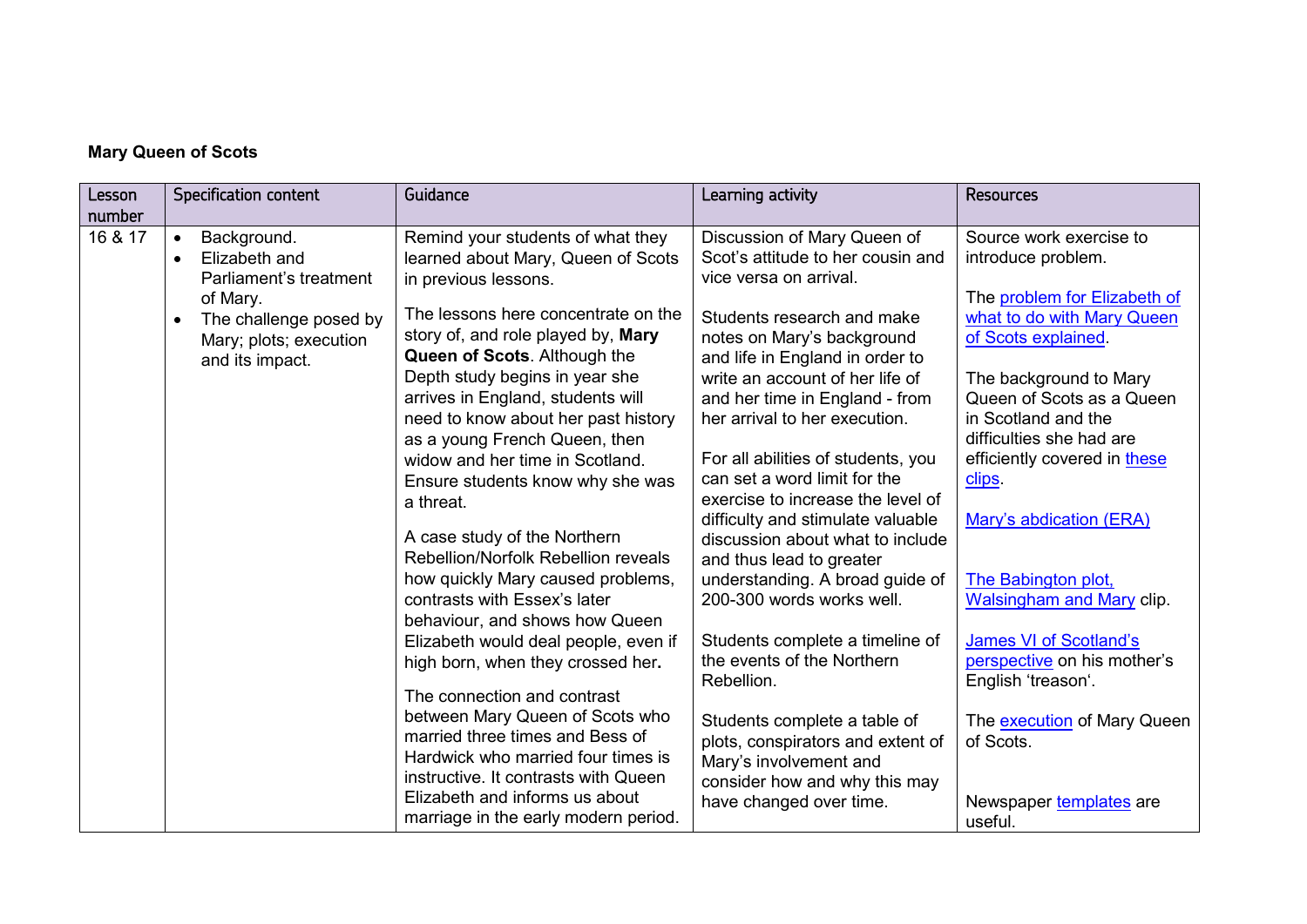## **Mary Queen of Scots**

| Lesson  | <b>Specification content</b>                                                                 | Guidance                                                                                                                                                                                                                                                                                                                               | Learning activity                                                                                                                                                                                                                                                            | <b>Resources</b>                                                                                                                                                     |
|---------|----------------------------------------------------------------------------------------------|----------------------------------------------------------------------------------------------------------------------------------------------------------------------------------------------------------------------------------------------------------------------------------------------------------------------------------------|------------------------------------------------------------------------------------------------------------------------------------------------------------------------------------------------------------------------------------------------------------------------------|----------------------------------------------------------------------------------------------------------------------------------------------------------------------|
| number  |                                                                                              |                                                                                                                                                                                                                                                                                                                                        |                                                                                                                                                                                                                                                                              |                                                                                                                                                                      |
| 16 & 17 | Background.<br>$\bullet$<br>Elizabeth and<br>$\bullet$<br>Parliament's treatment<br>of Mary. | Remind your students of what they<br>learned about Mary, Queen of Scots<br>in previous lessons.<br>The lessons here concentrate on the                                                                                                                                                                                                 | Discussion of Mary Queen of<br>Scot's attitude to her cousin and<br>vice versa on arrival.                                                                                                                                                                                   | Source work exercise to<br>introduce problem.<br>The problem for Elizabeth of                                                                                        |
|         | The challenge posed by<br>$\bullet$<br>Mary; plots; execution<br>and its impact.             | story of, and role played by, Mary<br>Queen of Scots. Although the<br>Depth study begins in year she<br>arrives in England, students will<br>need to know about her past history                                                                                                                                                       | Students research and make<br>notes on Mary's background<br>and life in England in order to<br>write an account of her life of<br>and her time in England - from<br>her arrival to her execution.                                                                            | what to do with Mary Queen<br>of Scots explained.<br>The background to Mary<br>Queen of Scots as a Queen<br>in Scotland and the                                      |
|         |                                                                                              | as a young French Queen, then<br>widow and her time in Scotland.<br>Ensure students know why she was<br>a threat.<br>A case study of the Northern<br>Rebellion/Norfolk Rebellion reveals<br>how quickly Mary caused problems,<br>contrasts with Essex's later<br>behaviour, and shows how Queen                                        | For all abilities of students, you<br>can set a word limit for the<br>exercise to increase the level of<br>difficulty and stimulate valuable<br>discussion about what to include<br>and thus lead to greater<br>understanding. A broad guide of<br>200-300 words works well. | difficulties she had are<br>efficiently covered in these<br>clips.<br>Mary's abdication (ERA)<br>The Babington plot,<br><b>Walsingham and Mary clip.</b>             |
|         |                                                                                              | Elizabeth would deal people, even if<br>high born, when they crossed her.<br>The connection and contrast<br>between Mary Queen of Scots who<br>married three times and Bess of<br>Hardwick who married four times is<br>instructive. It contrasts with Queen<br>Elizabeth and informs us about<br>marriage in the early modern period. | Students complete a timeline of<br>the events of the Northern<br>Rebellion.<br>Students complete a table of<br>plots, conspirators and extent of<br>Mary's involvement and<br>consider how and why this may<br>have changed over time.                                       | <b>James VI of Scotland's</b><br>perspective on his mother's<br>English 'treason'.<br>The execution of Mary Queen<br>of Scots.<br>Newspaper templates are<br>useful. |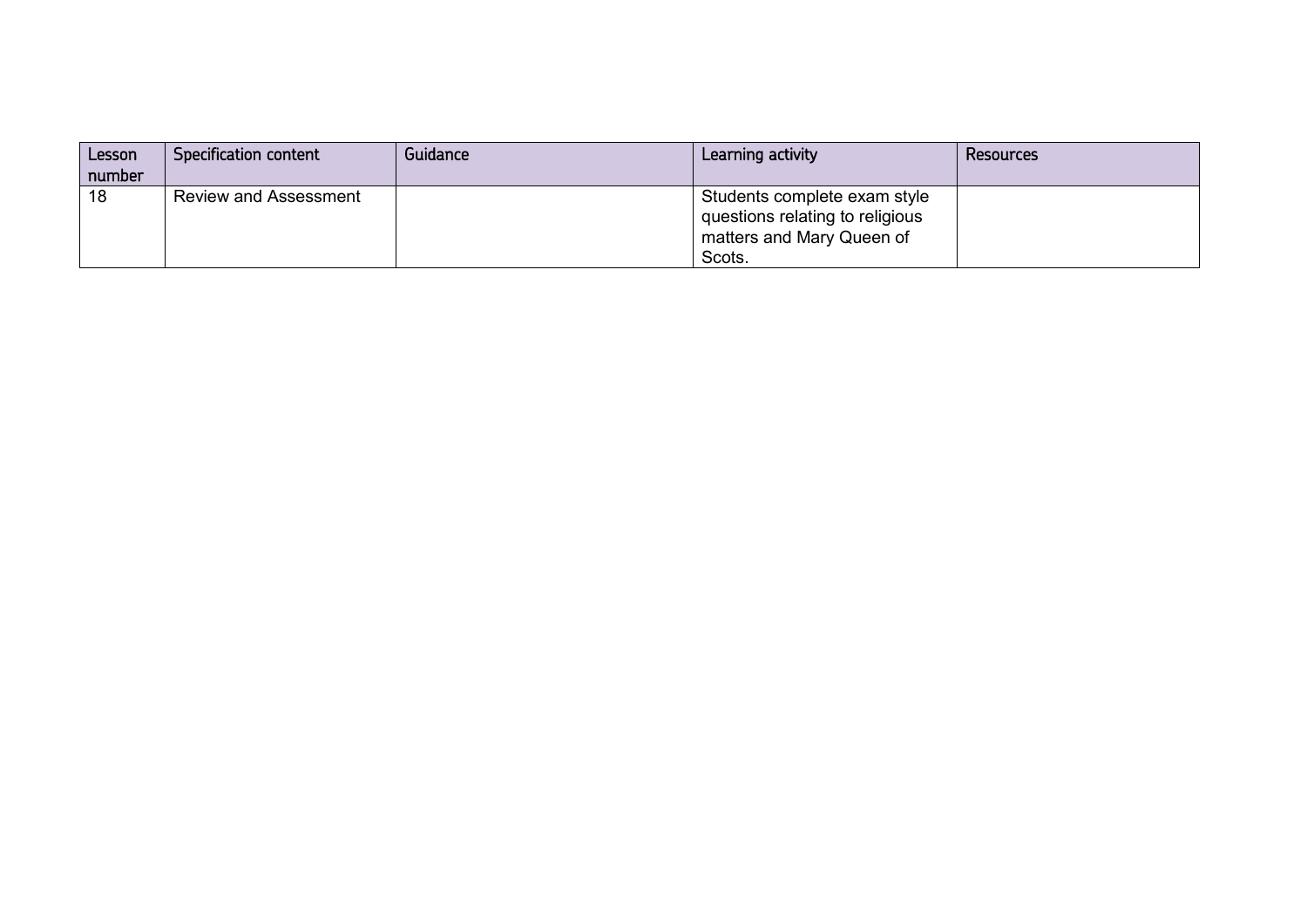| Lesson<br>number | Specification content        | Guidance | Learning activity                                                                                      | Resources |
|------------------|------------------------------|----------|--------------------------------------------------------------------------------------------------------|-----------|
| 18               | <b>Review and Assessment</b> |          | Students complete exam style<br>questions relating to religious<br>matters and Mary Queen of<br>Scots. |           |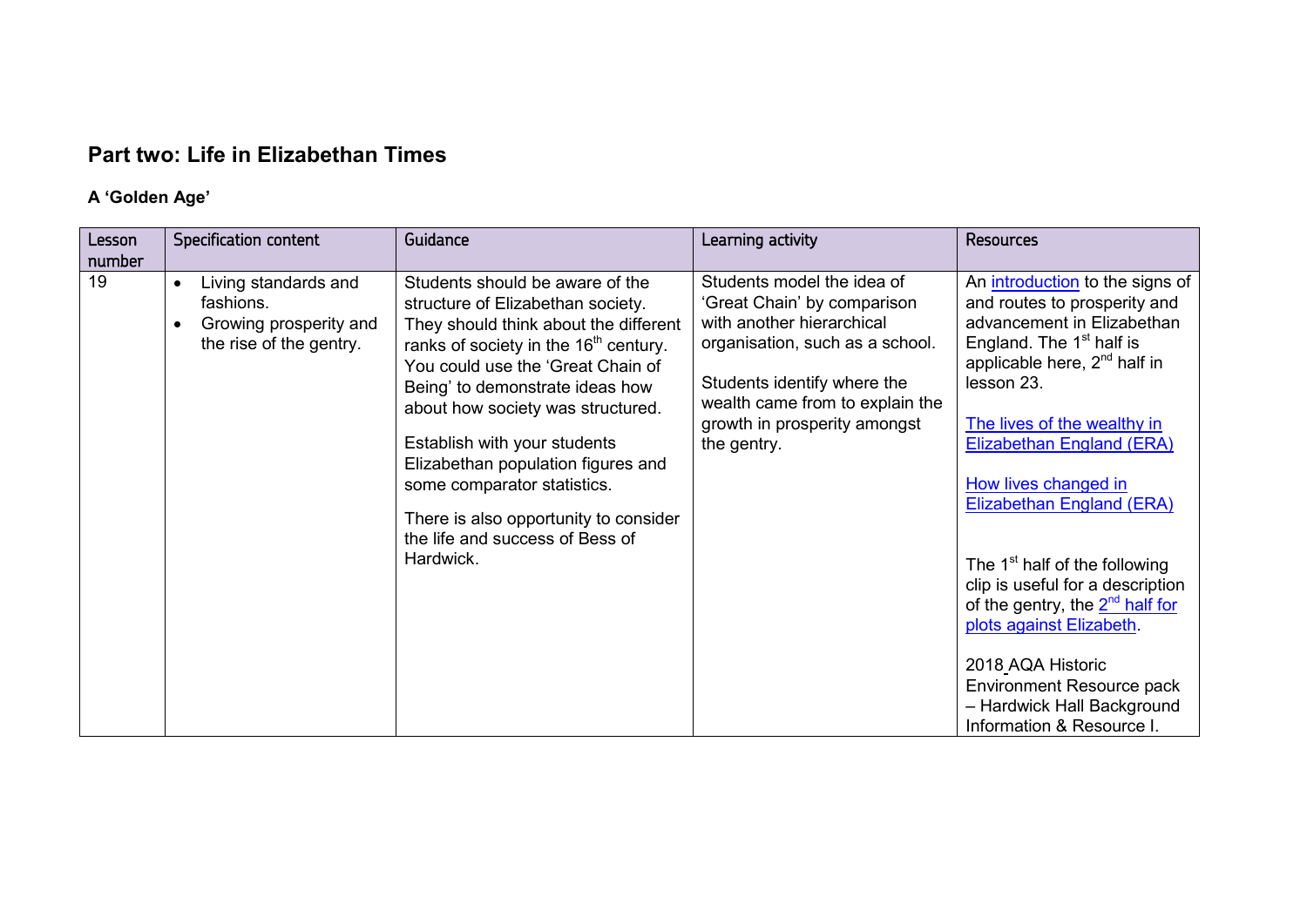# **Part two: Life in Elizabethan Times**

## **A 'Golden Age'**

| Lesson | <b>Specification content</b>                                                                        | Guidance                                                                                                                                                                                                                                                                                                                                                                                                                                                                      | Learning activity                                                                                                                                                                                                                          | <b>Resources</b>                                                                                                                                                                                                                                                                                                                                                                                                                                                                                                                                                                   |
|--------|-----------------------------------------------------------------------------------------------------|-------------------------------------------------------------------------------------------------------------------------------------------------------------------------------------------------------------------------------------------------------------------------------------------------------------------------------------------------------------------------------------------------------------------------------------------------------------------------------|--------------------------------------------------------------------------------------------------------------------------------------------------------------------------------------------------------------------------------------------|------------------------------------------------------------------------------------------------------------------------------------------------------------------------------------------------------------------------------------------------------------------------------------------------------------------------------------------------------------------------------------------------------------------------------------------------------------------------------------------------------------------------------------------------------------------------------------|
| number |                                                                                                     |                                                                                                                                                                                                                                                                                                                                                                                                                                                                               |                                                                                                                                                                                                                                            |                                                                                                                                                                                                                                                                                                                                                                                                                                                                                                                                                                                    |
| 19     | Living standards and<br>$\bullet$<br>fashions.<br>Growing prosperity and<br>the rise of the gentry. | Students should be aware of the<br>structure of Elizabethan society.<br>They should think about the different<br>ranks of society in the 16 <sup>th</sup> century.<br>You could use the 'Great Chain of<br>Being' to demonstrate ideas how<br>about how society was structured.<br>Establish with your students<br>Elizabethan population figures and<br>some comparator statistics.<br>There is also opportunity to consider<br>the life and success of Bess of<br>Hardwick. | Students model the idea of<br>'Great Chain' by comparison<br>with another hierarchical<br>organisation, such as a school.<br>Students identify where the<br>wealth came from to explain the<br>growth in prosperity amongst<br>the gentry. | An introduction to the signs of<br>and routes to prosperity and<br>advancement in Elizabethan<br>England. The 1 <sup>st</sup> half is<br>applicable here, 2 <sup>nd</sup> half in<br>lesson 23.<br>The lives of the wealthy in<br>Elizabethan England (ERA)<br>How lives changed in<br>Elizabethan England (ERA)<br>The 1 <sup>st</sup> half of the following<br>clip is useful for a description<br>of the gentry, the $2^{nd}$ half for<br>plots against Elizabeth.<br>2018 AQA Historic<br>Environment Resource pack<br>- Hardwick Hall Background<br>Information & Resource I. |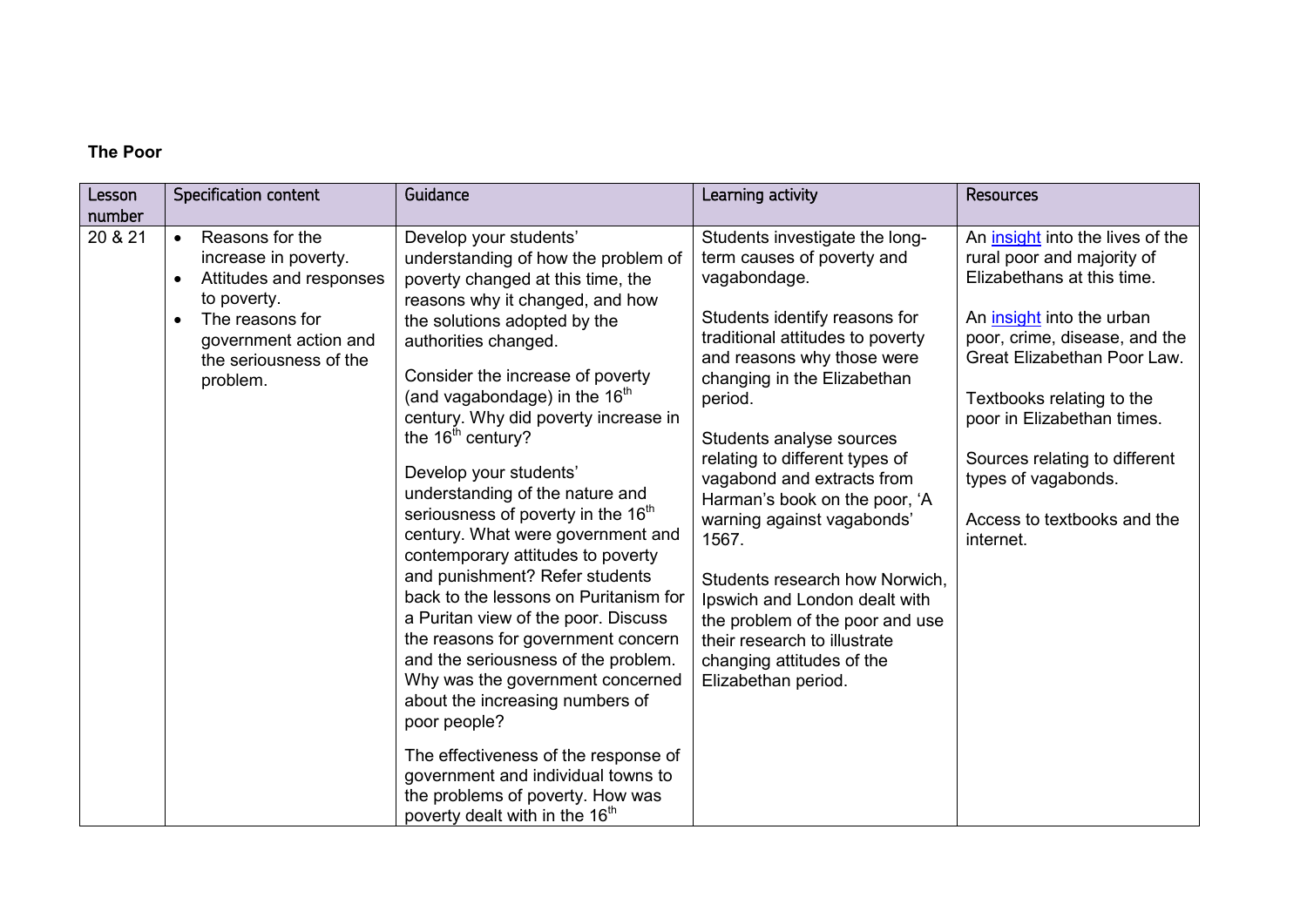#### **The Poor**

| Lesson<br>number | Specification content                                                                                                                                                                                      | Guidance                                                                                                                                                                                                                                                                                                                                                                                                                                                                                                                                                                                                                                                                                                                                                                                                                                                                                                                                                                           | Learning activity                                                                                                                                                                                                                                                                                                                                                                                                                                                                                                                                                                       | <b>Resources</b>                                                                                                                                                                                                                                                                                                                                                |
|------------------|------------------------------------------------------------------------------------------------------------------------------------------------------------------------------------------------------------|------------------------------------------------------------------------------------------------------------------------------------------------------------------------------------------------------------------------------------------------------------------------------------------------------------------------------------------------------------------------------------------------------------------------------------------------------------------------------------------------------------------------------------------------------------------------------------------------------------------------------------------------------------------------------------------------------------------------------------------------------------------------------------------------------------------------------------------------------------------------------------------------------------------------------------------------------------------------------------|-----------------------------------------------------------------------------------------------------------------------------------------------------------------------------------------------------------------------------------------------------------------------------------------------------------------------------------------------------------------------------------------------------------------------------------------------------------------------------------------------------------------------------------------------------------------------------------------|-----------------------------------------------------------------------------------------------------------------------------------------------------------------------------------------------------------------------------------------------------------------------------------------------------------------------------------------------------------------|
| 20 & 21          | Reasons for the<br>$\bullet$<br>increase in poverty.<br>Attitudes and responses<br>$\bullet$<br>to poverty.<br>The reasons for<br>$\bullet$<br>government action and<br>the seriousness of the<br>problem. | Develop your students'<br>understanding of how the problem of<br>poverty changed at this time, the<br>reasons why it changed, and how<br>the solutions adopted by the<br>authorities changed.<br>Consider the increase of poverty<br>(and vagabondage) in the $16th$<br>century. Why did poverty increase in<br>the $16th$ century?<br>Develop your students'<br>understanding of the nature and<br>seriousness of poverty in the 16 <sup>th</sup><br>century. What were government and<br>contemporary attitudes to poverty<br>and punishment? Refer students<br>back to the lessons on Puritanism for<br>a Puritan view of the poor. Discuss<br>the reasons for government concern<br>and the seriousness of the problem.<br>Why was the government concerned<br>about the increasing numbers of<br>poor people?<br>The effectiveness of the response of<br>government and individual towns to<br>the problems of poverty. How was<br>poverty dealt with in the 16 <sup>th</sup> | Students investigate the long-<br>term causes of poverty and<br>vagabondage.<br>Students identify reasons for<br>traditional attitudes to poverty<br>and reasons why those were<br>changing in the Elizabethan<br>period.<br>Students analyse sources<br>relating to different types of<br>vagabond and extracts from<br>Harman's book on the poor, 'A<br>warning against vagabonds'<br>1567.<br>Students research how Norwich.<br>Ipswich and London dealt with<br>the problem of the poor and use<br>their research to illustrate<br>changing attitudes of the<br>Elizabethan period. | An insight into the lives of the<br>rural poor and majority of<br>Elizabethans at this time.<br>An <i>insight</i> into the urban<br>poor, crime, disease, and the<br>Great Elizabethan Poor Law.<br>Textbooks relating to the<br>poor in Elizabethan times.<br>Sources relating to different<br>types of vagabonds.<br>Access to textbooks and the<br>internet. |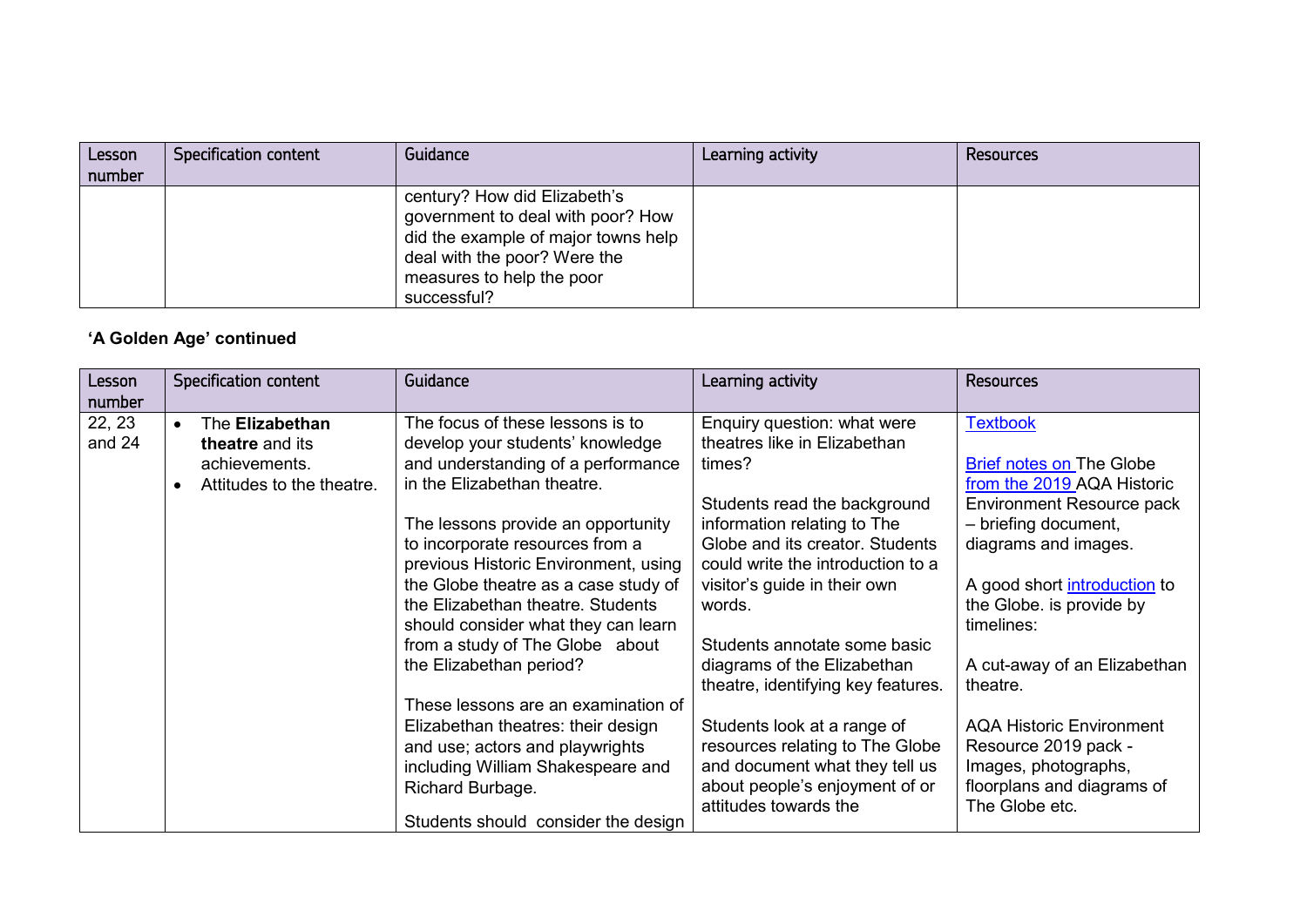| Lesson<br>number | Specification content | Guidance                                                                                                                                                                             | Learning activity | Resources |
|------------------|-----------------------|--------------------------------------------------------------------------------------------------------------------------------------------------------------------------------------|-------------------|-----------|
|                  |                       | century? How did Elizabeth's<br>government to deal with poor? How<br>did the example of major towns help<br>deal with the poor? Were the<br>measures to help the poor<br>successful? |                   |           |

## **'A Golden Age' continued**

| Lesson<br>number | Specification content                                                                                      | Guidance                                                                                                                                                                                                                                                                                                                                                                                                                                                                                                                                                                                                                                                     | Learning activity                                                                                                                                                                                                                                                                                                                                                                                                                                                                                                          | <b>Resources</b>                                                                                                                                                                                                                                                                                                                                                                                                              |
|------------------|------------------------------------------------------------------------------------------------------------|--------------------------------------------------------------------------------------------------------------------------------------------------------------------------------------------------------------------------------------------------------------------------------------------------------------------------------------------------------------------------------------------------------------------------------------------------------------------------------------------------------------------------------------------------------------------------------------------------------------------------------------------------------------|----------------------------------------------------------------------------------------------------------------------------------------------------------------------------------------------------------------------------------------------------------------------------------------------------------------------------------------------------------------------------------------------------------------------------------------------------------------------------------------------------------------------------|-------------------------------------------------------------------------------------------------------------------------------------------------------------------------------------------------------------------------------------------------------------------------------------------------------------------------------------------------------------------------------------------------------------------------------|
| 22, 23<br>and 24 | The Elizabethan<br>$\bullet$<br>theatre and its<br>achievements.<br>Attitudes to the theatre.<br>$\bullet$ | The focus of these lessons is to<br>develop your students' knowledge<br>and understanding of a performance<br>in the Elizabethan theatre.<br>The lessons provide an opportunity<br>to incorporate resources from a<br>previous Historic Environment, using<br>the Globe theatre as a case study of<br>the Elizabethan theatre. Students<br>should consider what they can learn<br>from a study of The Globe about<br>the Elizabethan period?<br>These lessons are an examination of<br>Elizabethan theatres: their design<br>and use; actors and playwrights<br>including William Shakespeare and<br>Richard Burbage.<br>Students should consider the design | Enquiry question: what were<br>theatres like in Elizabethan<br>times?<br>Students read the background<br>information relating to The<br>Globe and its creator. Students<br>could write the introduction to a<br>visitor's guide in their own<br>words.<br>Students annotate some basic<br>diagrams of the Elizabethan<br>theatre, identifying key features.<br>Students look at a range of<br>resources relating to The Globe<br>and document what they tell us<br>about people's enjoyment of or<br>attitudes towards the | <b>Textbook</b><br><b>Brief notes on The Globe</b><br>from the 2019 AQA Historic<br><b>Environment Resource pack</b><br>- briefing document,<br>diagrams and images.<br>A good short introduction to<br>the Globe. is provide by<br>timelines:<br>A cut-away of an Elizabethan<br>theatre.<br><b>AQA Historic Environment</b><br>Resource 2019 pack -<br>Images, photographs,<br>floorplans and diagrams of<br>The Globe etc. |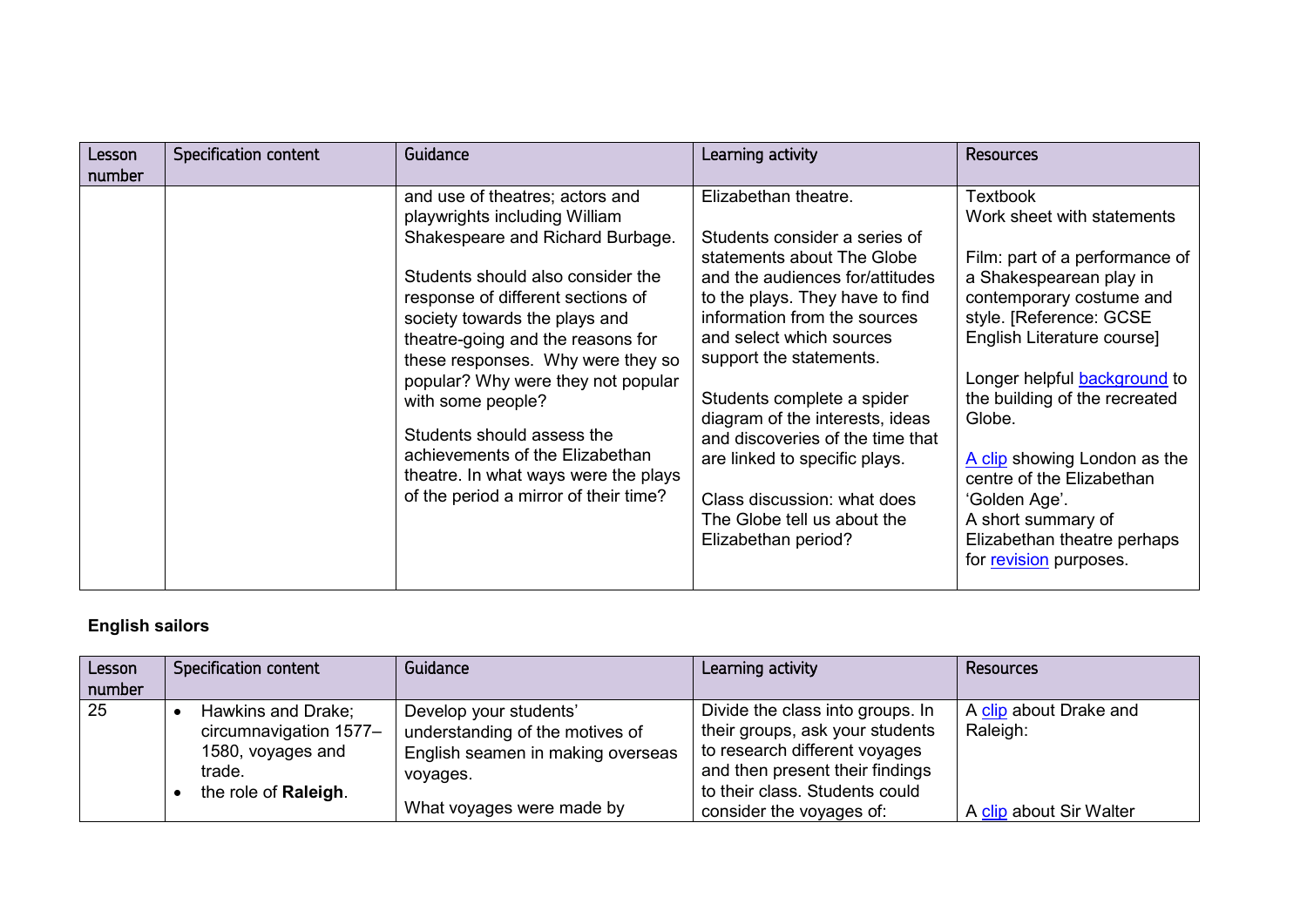| Lesson<br>number | <b>Specification content</b> | Guidance                                                                                                                                                                                                                                                                                                                                                                                                                                                                                               | Learning activity                                                                                                                                                                                                                                                                                                                                                                                                                                                           | <b>Resources</b>                                                                                                                                                                                                                                                                                                                                                                                                                               |
|------------------|------------------------------|--------------------------------------------------------------------------------------------------------------------------------------------------------------------------------------------------------------------------------------------------------------------------------------------------------------------------------------------------------------------------------------------------------------------------------------------------------------------------------------------------------|-----------------------------------------------------------------------------------------------------------------------------------------------------------------------------------------------------------------------------------------------------------------------------------------------------------------------------------------------------------------------------------------------------------------------------------------------------------------------------|------------------------------------------------------------------------------------------------------------------------------------------------------------------------------------------------------------------------------------------------------------------------------------------------------------------------------------------------------------------------------------------------------------------------------------------------|
|                  |                              | and use of theatres; actors and<br>playwrights including William<br>Shakespeare and Richard Burbage.<br>Students should also consider the<br>response of different sections of<br>society towards the plays and<br>theatre-going and the reasons for<br>these responses. Why were they so<br>popular? Why were they not popular<br>with some people?<br>Students should assess the<br>achievements of the Elizabethan<br>theatre. In what ways were the plays<br>of the period a mirror of their time? | Elizabethan theatre.<br>Students consider a series of<br>statements about The Globe<br>and the audiences for/attitudes<br>to the plays. They have to find<br>information from the sources<br>and select which sources<br>support the statements.<br>Students complete a spider<br>diagram of the interests, ideas<br>and discoveries of the time that<br>are linked to specific plays.<br>Class discussion: what does<br>The Globe tell us about the<br>Elizabethan period? | <b>Textbook</b><br>Work sheet with statements<br>Film: part of a performance of<br>a Shakespearean play in<br>contemporary costume and<br>style. [Reference: GCSE<br>English Literature course]<br>Longer helpful <b>background</b> to<br>the building of the recreated<br>Globe.<br>A clip showing London as the<br>centre of the Elizabethan<br>'Golden Age'.<br>A short summary of<br>Elizabethan theatre perhaps<br>for revision purposes. |

## **English sailors**

| Lesson<br>number | Specification content                                                                               | Guidance                                                                                                                                | Learning activity                                                                                                                                                                                     | <b>Resources</b>                                              |
|------------------|-----------------------------------------------------------------------------------------------------|-----------------------------------------------------------------------------------------------------------------------------------------|-------------------------------------------------------------------------------------------------------------------------------------------------------------------------------------------------------|---------------------------------------------------------------|
| 25               | Hawkins and Drake;<br>circumnavigation 1577-<br>1580, voyages and<br>trade.<br>the role of Raleigh. | Develop your students'<br>understanding of the motives of<br>English seamen in making overseas<br>voyages.<br>What voyages were made by | Divide the class into groups. In<br>their groups, ask your students<br>to research different voyages<br>and then present their findings<br>to their class. Students could<br>consider the voyages of: | A clip about Drake and<br>Raleigh:<br>A clip about Sir Walter |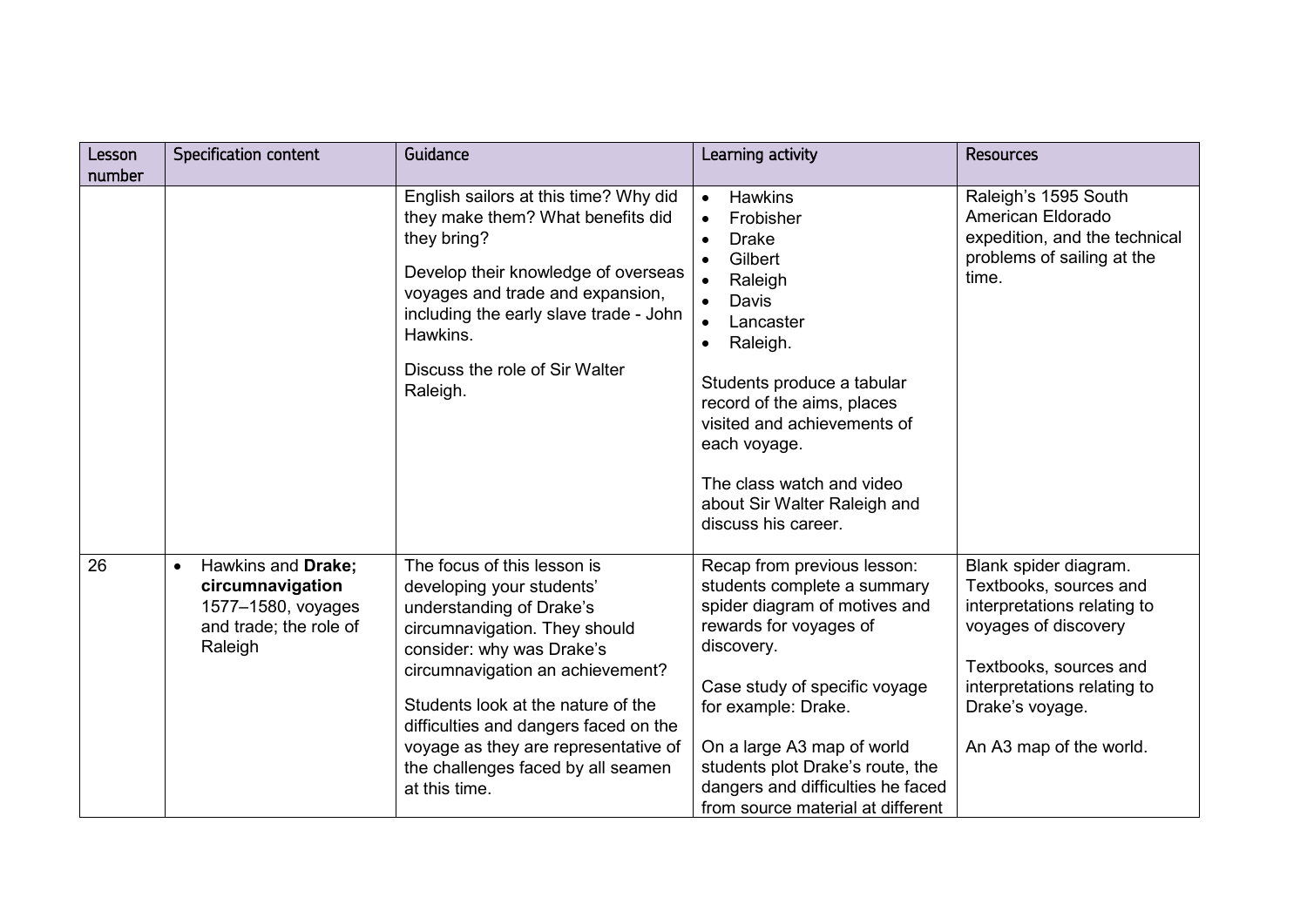| Lesson | <b>Specification content</b>                                                                                   | Guidance                                                                                                                                                                                                                                                                                                                                                             | Learning activity                                                                                                                                                                                                                                                                                                                       | <b>Resources</b>                                                                                                                                                                                              |
|--------|----------------------------------------------------------------------------------------------------------------|----------------------------------------------------------------------------------------------------------------------------------------------------------------------------------------------------------------------------------------------------------------------------------------------------------------------------------------------------------------------|-----------------------------------------------------------------------------------------------------------------------------------------------------------------------------------------------------------------------------------------------------------------------------------------------------------------------------------------|---------------------------------------------------------------------------------------------------------------------------------------------------------------------------------------------------------------|
| number |                                                                                                                |                                                                                                                                                                                                                                                                                                                                                                      |                                                                                                                                                                                                                                                                                                                                         |                                                                                                                                                                                                               |
|        |                                                                                                                | English sailors at this time? Why did<br>they make them? What benefits did<br>they bring?<br>Develop their knowledge of overseas<br>voyages and trade and expansion,<br>including the early slave trade - John<br>Hawkins.<br>Discuss the role of Sir Walter<br>Raleigh.                                                                                             | Hawkins<br>$\bullet$<br>Frobisher<br><b>Drake</b><br>Gilbert<br>Raleigh<br>Davis<br>Lancaster<br>Raleigh.<br>$\bullet$<br>Students produce a tabular<br>record of the aims, places<br>visited and achievements of<br>each voyage.<br>The class watch and video<br>about Sir Walter Raleigh and<br>discuss his career.                   | Raleigh's 1595 South<br>American Eldorado<br>expedition, and the technical<br>problems of sailing at the<br>time.                                                                                             |
| 26     | Hawkins and Drake;<br>$\bullet$<br>circumnavigation<br>1577-1580, voyages<br>and trade; the role of<br>Raleigh | The focus of this lesson is<br>developing your students'<br>understanding of Drake's<br>circumnavigation. They should<br>consider: why was Drake's<br>circumnavigation an achievement?<br>Students look at the nature of the<br>difficulties and dangers faced on the<br>voyage as they are representative of<br>the challenges faced by all seamen<br>at this time. | Recap from previous lesson:<br>students complete a summary<br>spider diagram of motives and<br>rewards for voyages of<br>discovery.<br>Case study of specific voyage<br>for example: Drake.<br>On a large A3 map of world<br>students plot Drake's route, the<br>dangers and difficulties he faced<br>from source material at different | Blank spider diagram.<br>Textbooks, sources and<br>interpretations relating to<br>voyages of discovery<br>Textbooks, sources and<br>interpretations relating to<br>Drake's voyage.<br>An A3 map of the world. |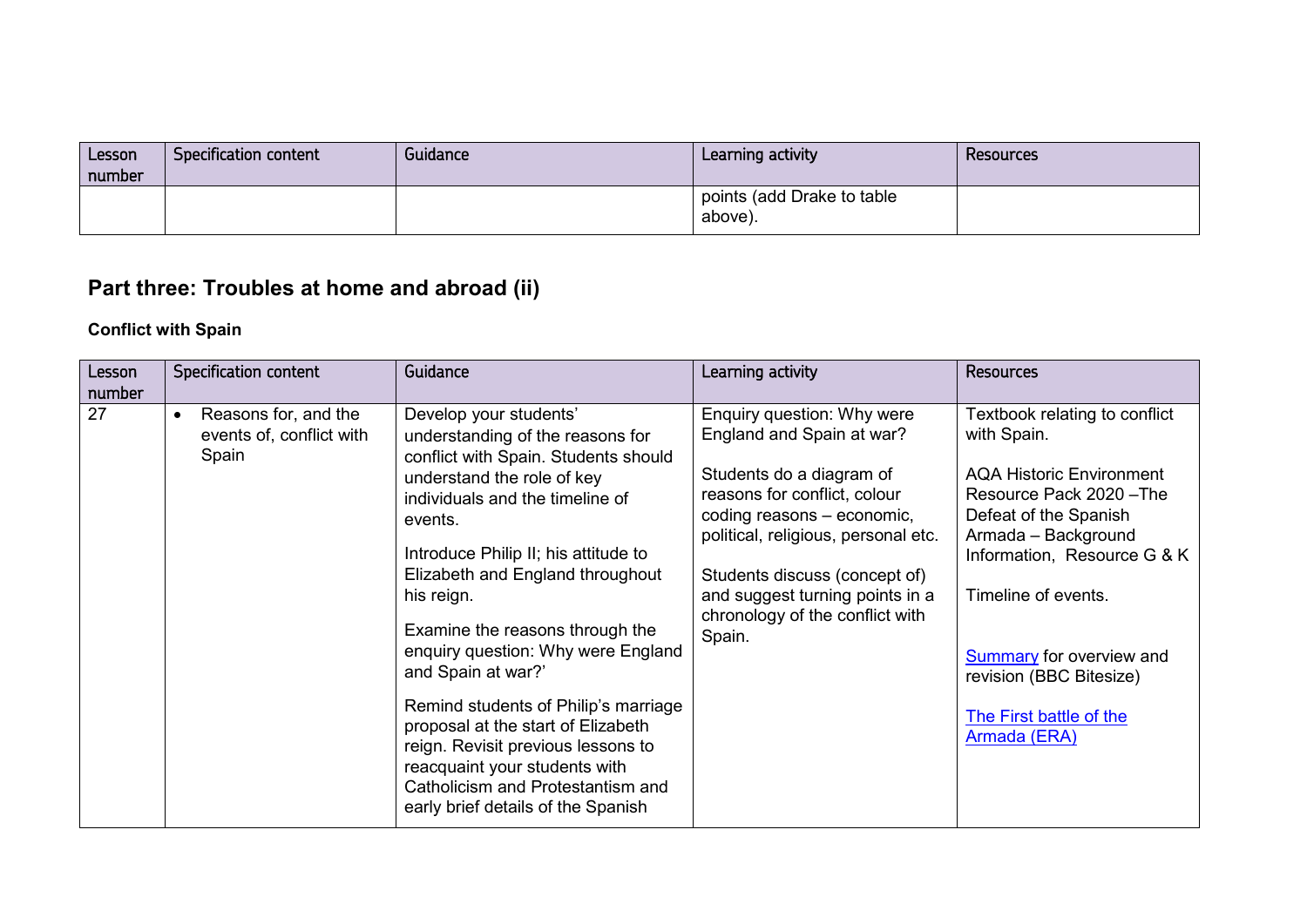| Lesson<br>number | Specification content | Guidance | Learning activity                     | Resources |
|------------------|-----------------------|----------|---------------------------------------|-----------|
|                  |                       |          | points (add Drake to table<br>above). |           |

# **Part three: Troubles at home and abroad (ii)**

# **Conflict with Spain**

| Lesson<br>number | Specification content                                                  | Guidance                                                                                                                                                                                                                                                                                                                                                                                                                                                                                                                                                                                                | Learning activity                                                                                                                                                                                                                                                                                         | <b>Resources</b>                                                                                                                                                                                                                                                                                                    |
|------------------|------------------------------------------------------------------------|---------------------------------------------------------------------------------------------------------------------------------------------------------------------------------------------------------------------------------------------------------------------------------------------------------------------------------------------------------------------------------------------------------------------------------------------------------------------------------------------------------------------------------------------------------------------------------------------------------|-----------------------------------------------------------------------------------------------------------------------------------------------------------------------------------------------------------------------------------------------------------------------------------------------------------|---------------------------------------------------------------------------------------------------------------------------------------------------------------------------------------------------------------------------------------------------------------------------------------------------------------------|
| 27               | Reasons for, and the<br>$\bullet$<br>events of, conflict with<br>Spain | Develop your students'<br>understanding of the reasons for<br>conflict with Spain. Students should<br>understand the role of key<br>individuals and the timeline of<br>events.<br>Introduce Philip II; his attitude to<br>Elizabeth and England throughout<br>his reign.<br>Examine the reasons through the<br>enquiry question: Why were England<br>and Spain at war?'<br>Remind students of Philip's marriage<br>proposal at the start of Elizabeth<br>reign. Revisit previous lessons to<br>reacquaint your students with<br>Catholicism and Protestantism and<br>early brief details of the Spanish | Enquiry question: Why were<br>England and Spain at war?<br>Students do a diagram of<br>reasons for conflict, colour<br>coding reasons - economic,<br>political, religious, personal etc.<br>Students discuss (concept of)<br>and suggest turning points in a<br>chronology of the conflict with<br>Spain. | Textbook relating to conflict<br>with Spain.<br><b>AQA Historic Environment</b><br>Resource Pack 2020 - The<br>Defeat of the Spanish<br>Armada - Background<br>Information, Resource G & K<br>Timeline of events.<br>Summary for overview and<br>revision (BBC Bitesize)<br>The First battle of the<br>Armada (ERA) |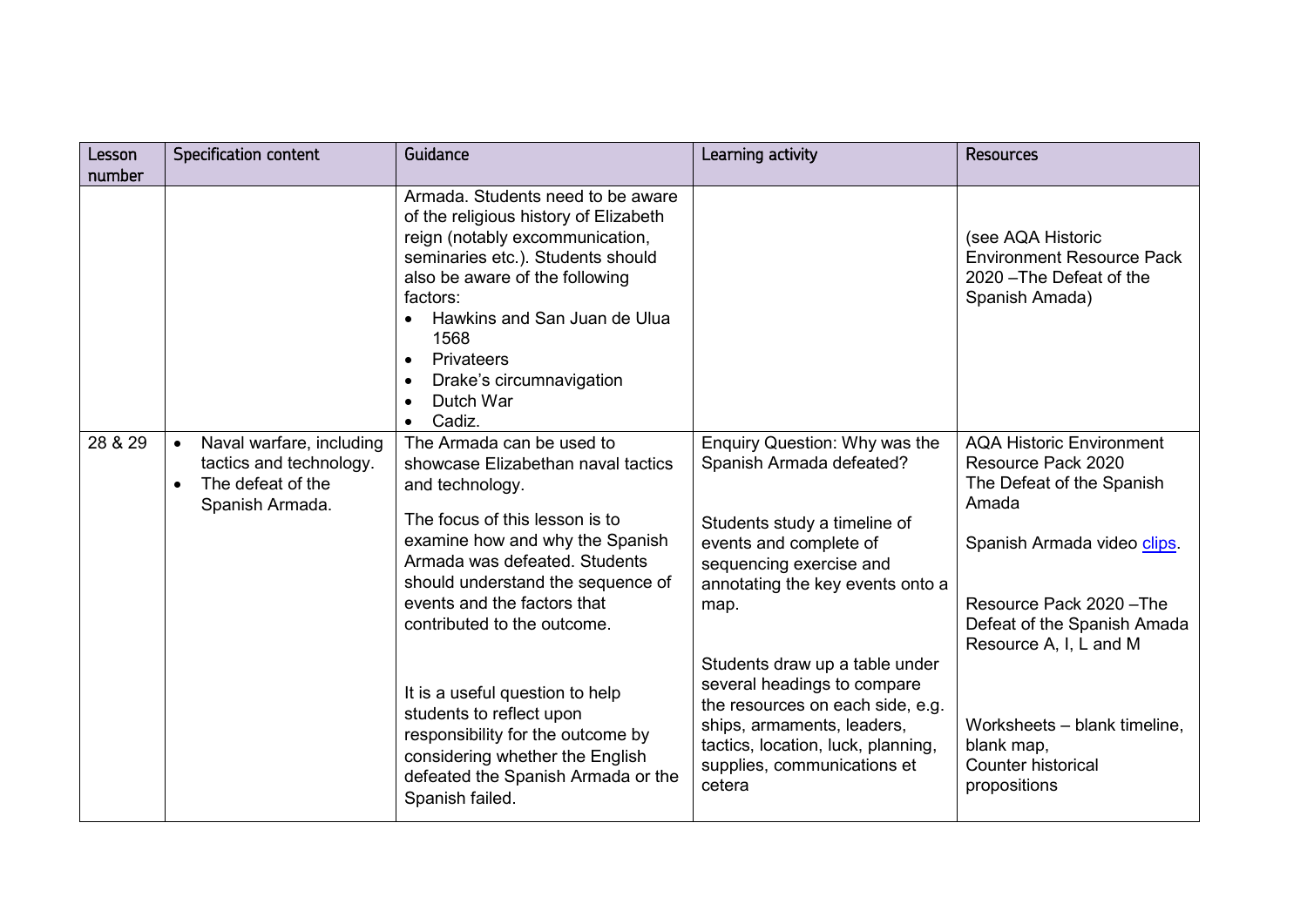| Lesson<br>number | Specification content                                                                                                 | Guidance                                                                                                                                                                                                                                                                                                                                         | Learning activity                                                                                                                                                                                              | <b>Resources</b>                                                                                                                                                                                                |
|------------------|-----------------------------------------------------------------------------------------------------------------------|--------------------------------------------------------------------------------------------------------------------------------------------------------------------------------------------------------------------------------------------------------------------------------------------------------------------------------------------------|----------------------------------------------------------------------------------------------------------------------------------------------------------------------------------------------------------------|-----------------------------------------------------------------------------------------------------------------------------------------------------------------------------------------------------------------|
|                  |                                                                                                                       | Armada. Students need to be aware<br>of the religious history of Elizabeth<br>reign (notably excommunication,<br>seminaries etc.). Students should<br>also be aware of the following<br>factors:<br>Hawkins and San Juan de Ulua<br>$\bullet$<br>1568<br>Privateers<br>$\bullet$<br>Drake's circumnavigation<br>$\bullet$<br>Dutch War<br>Cadiz. |                                                                                                                                                                                                                | (see AQA Historic<br><b>Environment Resource Pack</b><br>2020 - The Defeat of the<br>Spanish Amada)                                                                                                             |
| 28 & 29          | Naval warfare, including<br>$\bullet$<br>tactics and technology.<br>The defeat of the<br>$\bullet$<br>Spanish Armada. | The Armada can be used to<br>showcase Elizabethan naval tactics<br>and technology.<br>The focus of this lesson is to<br>examine how and why the Spanish<br>Armada was defeated. Students<br>should understand the sequence of<br>events and the factors that<br>contributed to the outcome.                                                      | Enquiry Question: Why was the<br>Spanish Armada defeated?<br>Students study a timeline of<br>events and complete of<br>sequencing exercise and<br>annotating the key events onto a<br>map.                     | <b>AQA Historic Environment</b><br>Resource Pack 2020<br>The Defeat of the Spanish<br>Amada<br>Spanish Armada video clips.<br>Resource Pack 2020 - The<br>Defeat of the Spanish Amada<br>Resource A, I, L and M |
|                  |                                                                                                                       | It is a useful question to help<br>students to reflect upon<br>responsibility for the outcome by<br>considering whether the English<br>defeated the Spanish Armada or the<br>Spanish failed.                                                                                                                                                     | Students draw up a table under<br>several headings to compare<br>the resources on each side, e.g.<br>ships, armaments, leaders,<br>tactics, location, luck, planning,<br>supplies, communications et<br>cetera | Worksheets - blank timeline,<br>blank map,<br><b>Counter historical</b><br>propositions                                                                                                                         |